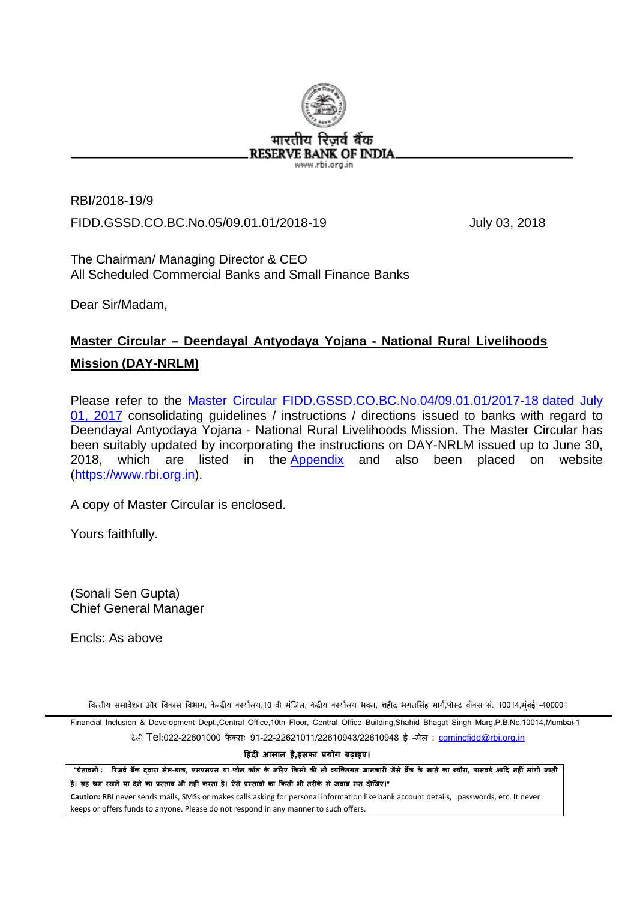

RBI/2018-19/9 FIDD.GSSD.CO.BC.No.05/09.01.01/2018-19 July 03, 2018

The Chairman/ Managing Director & CEO All Scheduled Commercial Banks and Small Finance Banks

Dear Sir/Madam,

# **Master Circular – Deendayal Antyodaya Yojana - National Rural Livelihoods Mission (DAY-NRLM)**

Please refer to the [Master Circular FIDD.GSSD.CO.BC.No.04/09.01.01/2017-18](https://www.rbi.org.in/Scripts/NotificationUser.aspx?Id=11035&Mode=0) dated July [01, 2017](https://www.rbi.org.in/Scripts/NotificationUser.aspx?Id=11035&Mode=0) consolidating guidelines / instructions / directions issued to banks with regard to Deendayal Antyodaya Yojana - National Rural Livelihoods Mission. The Master Circular has been suitably updated by incorporating the instructions on DAY-NRLM issued up to June 30, 2018, which are listed in the [Appendix](#page-28-0) and also been placed on website [\(https://www.rbi.org.in\)](https://www.rbi.org.in/).

A copy of [Master Circular is enclosed.](https://www.rbi.org.in/scripts/NotificationUser.aspx?Id=9052&fn=2754&Mode=0#MC)

Yours faithfully.

(Sonali Sen Gupta) Chief General Manager

Encls: As above

वित्तीय समावेशन और विकास विभाग, केन्द्रीय कार्यालय,10 वी मंजिल, केंद्रीय कार्यालय भवन, शहीद भगतसिंह मार्ग,पोस्ट बॉक्स सं. 10014,मुंबई -400001

Financial Inclusion & Development Dept.,Central Office,10th Floor, Central Office Building,Shahid Bhagat Singh Marg,P.B.No.10014,Mumbai-1 टेली Tel:022-22601000 फैक्सः 91-22-22621011/22610943/22610948 ई -मेल : camincfidd@rbi.org.in

**�हंद� आसान है,इसका प्रयोग बढ़ाइए।**

"चेतावनी : रिजर्व बैंक दवारा मेल-डाक, एसएमएस या फोन कॉल के जरिए किसी की भी व्यक्तिगत जानकारी जैसे बैंक के खाते का ब्यौरा, पासवर्ड आदि नहीं मांगी जाती है। यह धन रखने या देने का प्रस्ताव भी नहीं करता है। ऐसे प्रस्तावों का किसी भी तरीके से जवाब मत दीजिए।"

**Caution:** RBI never sends mails, SMSs or makes calls asking for personal information like bank account details, passwords, etc. It never keeps or offers funds to anyone. Please do not respond in any manner to such offers.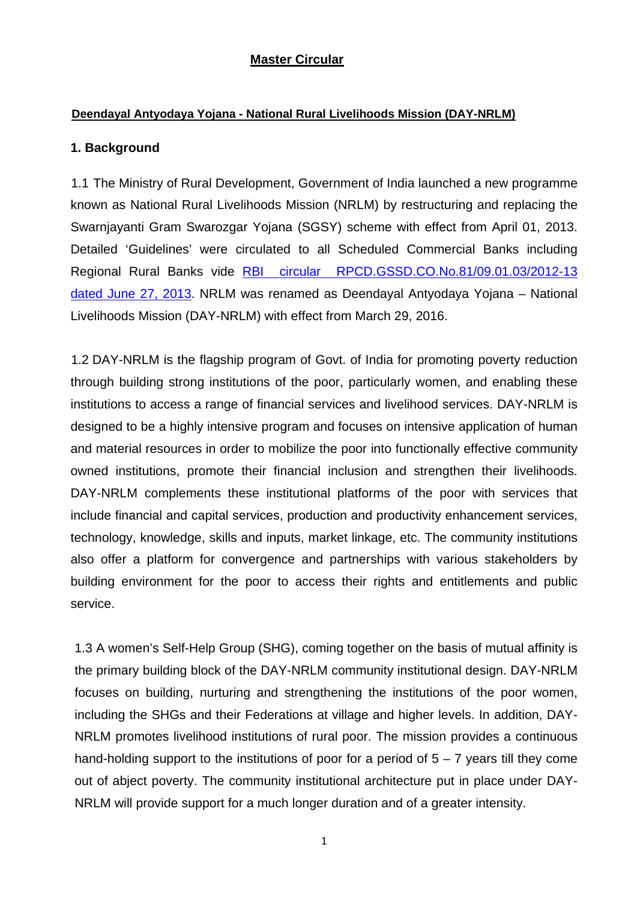## **Master Circular**

### **Deendayal Antyodaya Yojana - National Rural Livelihoods Mission (DAY-NRLM)**

### **1. Background**

1.1 The Ministry of Rural Development, Government of India launched a new programme known as National Rural Livelihoods Mission (NRLM) by restructuring and replacing the Swarnjayanti Gram Swarozgar Yojana (SGSY) scheme with effect from April 01, 2013. Detailed 'Guidelines' were circulated to all Scheduled Commercial Banks including Regional Rural Banks vide [RBI circular RPCD.GSSD.CO.No.81/09.01.03/2012-13](https://www.rbi.org.in/Scripts/NotificationUser.aspx?Id=8075&Mode=0)  [dated June 27, 2013.](https://www.rbi.org.in/Scripts/NotificationUser.aspx?Id=8075&Mode=0) NRLM was renamed as Deendayal Antyodaya Yojana – National Livelihoods Mission (DAY-NRLM) with effect from March 29, 2016.

1.2 DAY-NRLM is the flagship program of Govt. of India for promoting poverty reduction through building strong institutions of the poor, particularly women, and enabling these institutions to access a range of financial services and livelihood services. DAY-NRLM is designed to be a highly intensive program and focuses on intensive application of human and material resources in order to mobilize the poor into functionally effective community owned institutions, promote their financial inclusion and strengthen their livelihoods. DAY-NRLM complements these institutional platforms of the poor with services that include financial and capital services, production and productivity enhancement services, technology, knowledge, skills and inputs, market linkage, etc. The community institutions also offer a platform for convergence and partnerships with various stakeholders by building environment for the poor to access their rights and entitlements and public service.

1.3 A women's Self-Help Group (SHG), coming together on the basis of mutual affinity is the primary building block of the DAY-NRLM community institutional design. DAY-NRLM focuses on building, nurturing and strengthening the institutions of the poor women, including the SHGs and their Federations at village and higher levels. In addition, DAY-NRLM promotes livelihood institutions of rural poor. The mission provides a continuous hand-holding support to the institutions of poor for a period of  $5 - 7$  years till they come out of abject poverty. The community institutional architecture put in place under DAY-NRLM will provide support for a much longer duration and of a greater intensity.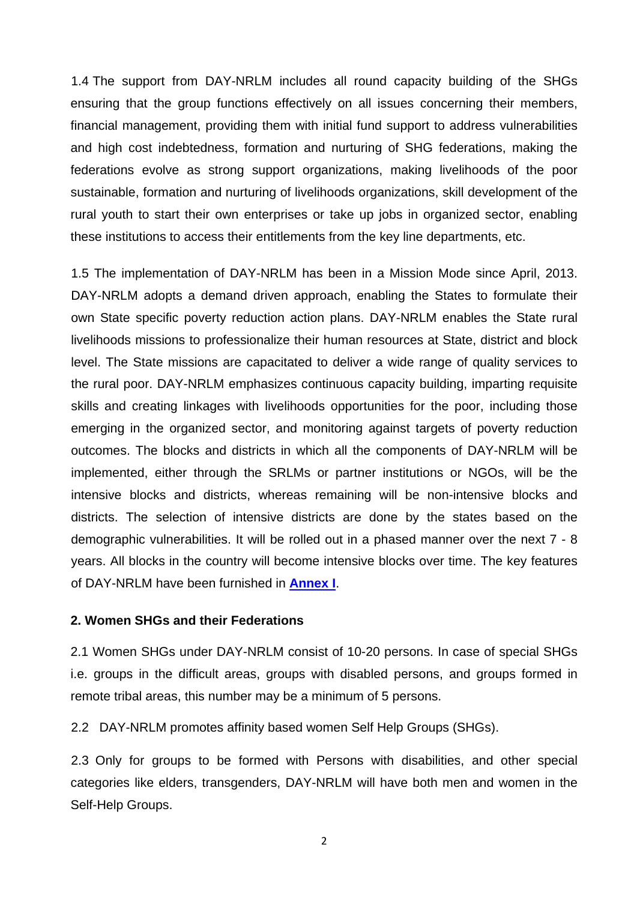1.4 The support from DAY-NRLM includes all round capacity building of the SHGs ensuring that the group functions effectively on all issues concerning their members, financial management, providing them with initial fund support to address vulnerabilities and high cost indebtedness, formation and nurturing of SHG federations, making the federations evolve as strong support organizations, making livelihoods of the poor sustainable, formation and nurturing of livelihoods organizations, skill development of the rural youth to start their own enterprises or take up jobs in organized sector, enabling these institutions to access their entitlements from the key line departments, etc.

1.5 The implementation of DAY-NRLM has been in a Mission Mode since April, 2013. DAY-NRLM adopts a demand driven approach, enabling the States to formulate their own State specific poverty reduction action plans. DAY-NRLM enables the State rural livelihoods missions to professionalize their human resources at State, district and block level. The State missions are capacitated to deliver a wide range of quality services to the rural poor. DAY-NRLM emphasizes continuous capacity building, imparting requisite skills and creating linkages with livelihoods opportunities for the poor, including those emerging in the organized sector, and monitoring against targets of poverty reduction outcomes. The blocks and districts in which all the components of DAY-NRLM will be implemented, either through the SRLMs or partner institutions or NGOs, will be the intensive blocks and districts, whereas remaining will be non-intensive blocks and districts. The selection of intensive districts are done by the states based on the demographic vulnerabilities. It will be rolled out in a phased manner over the next 7 - 8 years. All blocks in the country will become intensive blocks over time. The key features of DAY-NRLM have been furnished in **[Annex I](#page-12-0)**.

#### **2. Women SHGs and their Federations**

2.1 Women SHGs under DAY-NRLM consist of 10-20 persons. In case of special SHGs i.e. groups in the difficult areas, groups with disabled persons, and groups formed in remote tribal areas, this number may be a minimum of 5 persons.

2.2 DAY-NRLM promotes affinity based women Self Help Groups (SHGs).

2.3 Only for groups to be formed with Persons with disabilities, and other special categories like elders, transgenders, DAY-NRLM will have both men and women in the Self-Help Groups.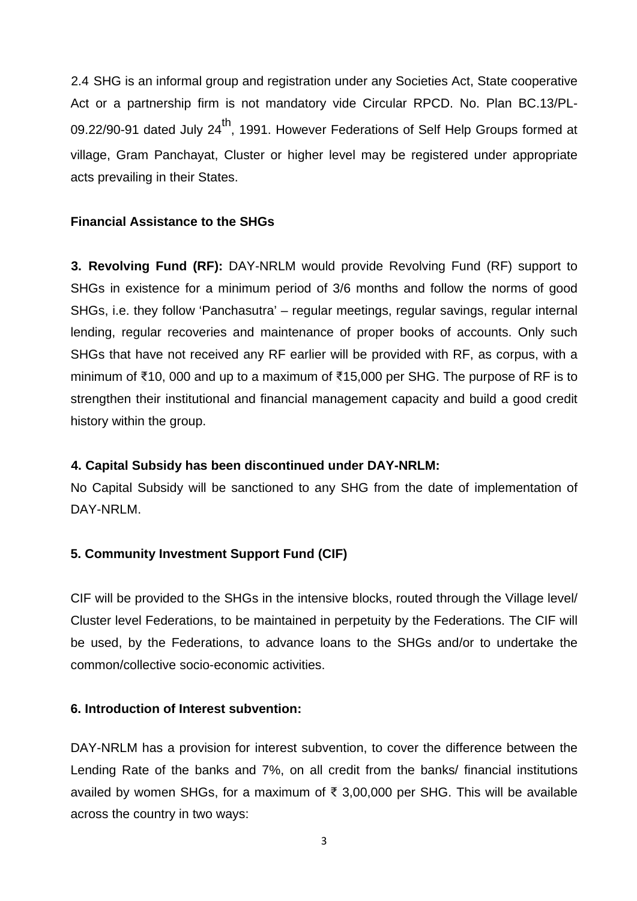2.4 SHG is an informal group and registration under any Societies Act, State cooperative Act or a partnership firm is not mandatory vide Circular RPCD. No. Plan BC.13/PL-09.22/90-91 dated July 24<sup>th</sup>, 1991. However Federations of Self Help Groups formed at village, Gram Panchayat, Cluster or higher level may be registered under appropriate acts prevailing in their States.

#### **Financial Assistance to the SHGs**

**3. Revolving Fund (RF):** DAY-NRLM would provide Revolving Fund (RF) support to SHGs in existence for a minimum period of 3/6 months and follow the norms of good SHGs, i.e. they follow 'Panchasutra' – regular meetings, regular savings, regular internal lending, regular recoveries and maintenance of proper books of accounts. Only such SHGs that have not received any RF earlier will be provided with RF, as corpus, with a minimum of ₹10, 000 and up to a maximum of ₹15,000 per SHG. The purpose of RF is to strengthen their institutional and financial management capacity and build a good credit history within the group.

#### **4. Capital Subsidy has been discontinued under DAY-NRLM:**

No Capital Subsidy will be sanctioned to any SHG from the date of implementation of DAY-NRLM.

## **5. Community Investment Support Fund (CIF)**

CIF will be provided to the SHGs in the intensive blocks, routed through the Village level/ Cluster level Federations, to be maintained in perpetuity by the Federations. The CIF will be used, by the Federations, to advance loans to the SHGs and/or to undertake the common/collective socio-economic activities.

### **6. Introduction of Interest subvention:**

DAY-NRLM has a provision for interest subvention, to cover the difference between the Lending Rate of the banks and 7%, on all credit from the banks/ financial institutions availed by women SHGs, for a maximum of ₹ 3,00,000 per SHG. This will be available across the country in two ways: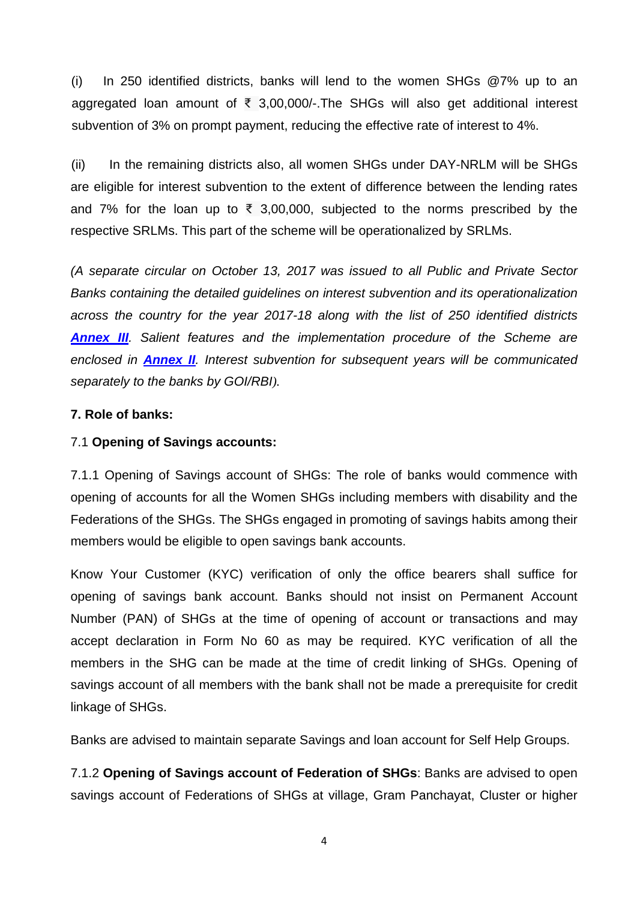(i) In 250 identified districts, banks will lend to the women SHGs @7% up to an aggregated loan amount of ₹ 3,00,000/-.The SHGs will also get additional interest subvention of 3% on prompt payment, reducing the effective rate of interest to 4%.

(ii) In the remaining districts also, all women SHGs under DAY-NRLM will be SHGs are eligible for interest subvention to the extent of difference between the lending rates and 7% for the loan up to  $\overline{\xi}$  3,00,000, subjected to the norms prescribed by the respective SRLMs. This part of the scheme will be operationalized by SRLMs.

*(A separate circular on October 13, 2017 was issued to all Public and Private Sector Banks containing the detailed guidelines on interest subvention and its operationalization across the country for the year 2017-18 along with the list of 250 identified districts [Annex III](#page-20-0). Salient features and the implementation procedure of the Scheme are enclosed in [Annex II](#page-16-0). Interest subvention for subsequent years will be communicated separately to the banks by GOI/RBI).*

#### **7. Role of banks:**

### 7.1 **Opening of Savings accounts:**

7.1.1 Opening of Savings account of SHGs: The role of banks would commence with opening of accounts for all the Women SHGs including members with disability and the Federations of the SHGs. The SHGs engaged in promoting of savings habits among their members would be eligible to open savings bank accounts.

Know Your Customer (KYC) verification of only the office bearers shall suffice for opening of savings bank account. Banks should not insist on Permanent Account Number (PAN) of SHGs at the time of opening of account or transactions and may accept declaration in Form No 60 as may be required. KYC verification of all the members in the SHG can be made at the time of credit linking of SHGs. Opening of savings account of all members with the bank shall not be made a prerequisite for credit linkage of SHGs.

Banks are advised to maintain separate Savings and loan account for Self Help Groups.

7.1.2 **Opening of Savings account of Federation of SHGs**: Banks are advised to open savings account of Federations of SHGs at village, Gram Panchayat, Cluster or higher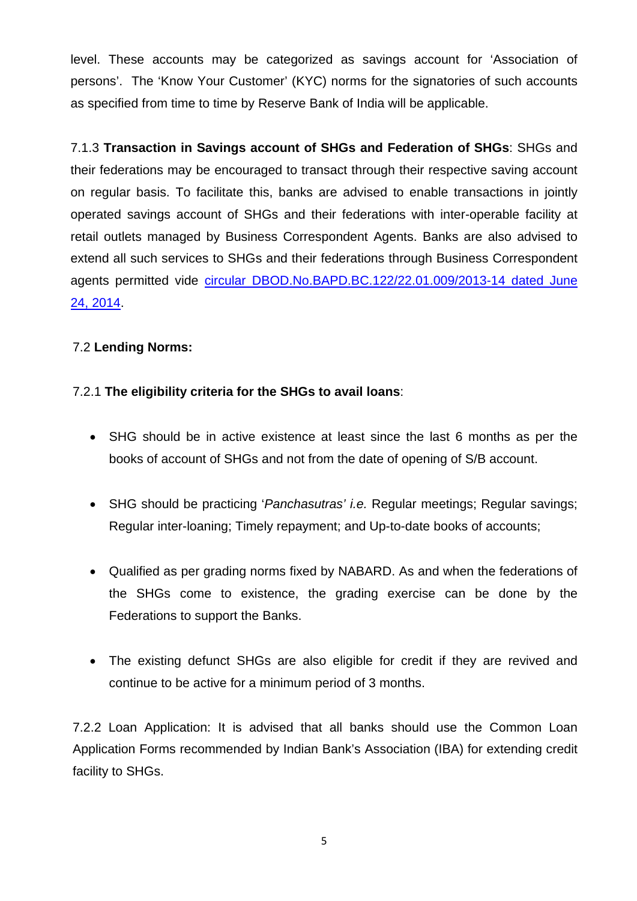level. These accounts may be categorized as savings account for 'Association of persons'. The 'Know Your Customer' (KYC) norms for the signatories of such accounts as specified from time to time by Reserve Bank of India will be applicable.

7.1.3 **Transaction in Savings account of SHGs and Federation of SHGs**: SHGs and their federations may be encouraged to transact through their respective saving account on regular basis. To facilitate this, banks are advised to enable transactions in jointly operated savings account of SHGs and their federations with inter-operable facility at retail outlets managed by Business Correspondent Agents. Banks are also advised to extend all such services to SHGs and their federations through Business Correspondent agents permitted vide [circular DBOD.No.BAPD.BC.122/22.01.009/2013-14 dated June](https://www.rbi.org.in/Scripts/NotificationUser.aspx?Id=8955&Mode=0)  [24, 2014.](https://www.rbi.org.in/Scripts/NotificationUser.aspx?Id=8955&Mode=0)

## 7.2 **Lending Norms:**

## 7.2.1 **The eligibility criteria for the SHGs to avail loans**:

- SHG should be in active existence at least since the last 6 months as per the books of account of SHGs and not from the date of opening of S/B account.
- SHG should be practicing '*Panchasutras' i.e.* Regular meetings; Regular savings; Regular inter-loaning; Timely repayment; and Up-to-date books of accounts;
- Qualified as per grading norms fixed by NABARD. As and when the federations of the SHGs come to existence, the grading exercise can be done by the Federations to support the Banks.
- The existing defunct SHGs are also eligible for credit if they are revived and continue to be active for a minimum period of 3 months.

7.2.2 Loan Application: It is advised that all banks should use the Common Loan Application Forms recommended by Indian Bank's Association (IBA) for extending credit facility to SHGs.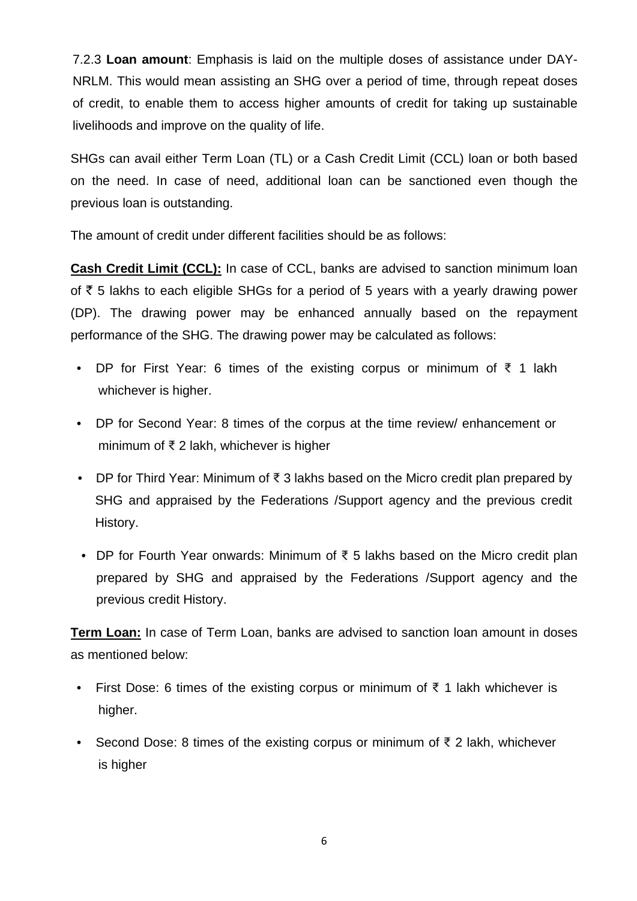7.2.3 **Loan amount**: Emphasis is laid on the multiple doses of assistance under DAY-NRLM. This would mean assisting an SHG over a period of time, through repeat doses of credit, to enable them to access higher amounts of credit for taking up sustainable livelihoods and improve on the quality of life.

SHGs can avail either Term Loan (TL) or a Cash Credit Limit (CCL) loan or both based on the need. In case of need, additional loan can be sanctioned even though the previous loan is outstanding.

The amount of credit under different facilities should be as follows:

**Cash Credit Limit (CCL):** In case of CCL, banks are advised to sanction minimum loan of  $\bar{\tau}$  5 lakhs to each eligible SHGs for a period of 5 years with a yearly drawing power (DP). The drawing power may be enhanced annually based on the repayment performance of the SHG. The drawing power may be calculated as follows:

- DP for First Year: 6 times of the existing corpus or minimum of  $\bar{\tau}$  1 lakh whichever is higher.
- DP for Second Year: 8 times of the corpus at the time review/ enhancement or minimum of ₹ 2 lakh, whichever is higher
- DP for Third Year: Minimum of ₹ 3 lakhs based on the Micro credit plan prepared by SHG and appraised by the Federations /Support agency and the previous credit History.
- DP for Fourth Year onwards: Minimum of ₹ 5 lakhs based on the Micro credit plan prepared by SHG and appraised by the Federations /Support agency and the previous credit History.

**Term Loan:** In case of Term Loan, banks are advised to sanction loan amount in doses as mentioned below:

- First Dose: 6 times of the existing corpus or minimum of  $\bar{\tau}$  1 lakh whichever is higher.
- Second Dose: 8 times of the existing corpus or minimum of ₹ 2 lakh, whichever is higher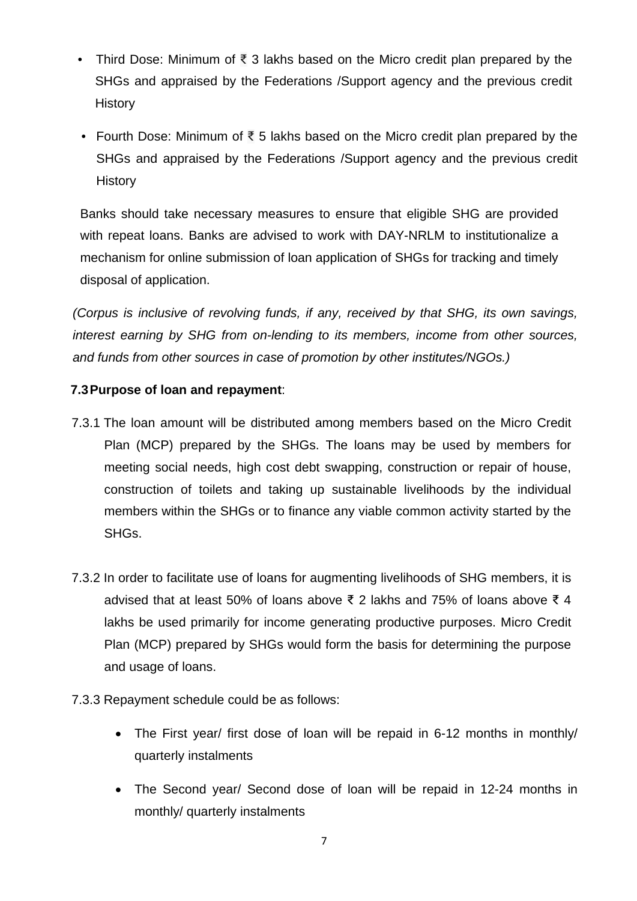- Third Dose: Minimum of ₹ 3 lakhs based on the Micro credit plan prepared by the SHGs and appraised by the Federations /Support agency and the previous credit **History**
- Fourth Dose: Minimum of ₹ 5 lakhs based on the Micro credit plan prepared by the SHGs and appraised by the Federations /Support agency and the previous credit **History**

Banks should take necessary measures to ensure that eligible SHG are provided with repeat loans. Banks are advised to work with DAY-NRLM to institutionalize a mechanism for online submission of loan application of SHGs for tracking and timely disposal of application.

*(Corpus is inclusive of revolving funds, if any, received by that SHG, its own savings, interest earning by SHG from on-lending to its members, income from other sources, and funds from other sources in case of promotion by other institutes/NGOs.)*

## **7.3Purpose of loan and repayment**:

- 7.3.1 The loan amount will be distributed among members based on the Micro Credit Plan (MCP) prepared by the SHGs. The loans may be used by members for meeting social needs, high cost debt swapping, construction or repair of house, construction of toilets and taking up sustainable livelihoods by the individual members within the SHGs or to finance any viable common activity started by the SHGs.
- 7.3.2 In order to facilitate use of loans for augmenting livelihoods of SHG members, it is advised that at least 50% of loans above ₹ 2 lakhs and 75% of loans above ₹ 4 lakhs be used primarily for income generating productive purposes. Micro Credit Plan (MCP) prepared by SHGs would form the basis for determining the purpose and usage of loans.
- 7.3.3 Repayment schedule could be as follows:
	- The First year/ first dose of loan will be repaid in 6-12 months in monthly/ quarterly instalments
	- The Second year/ Second dose of loan will be repaid in 12-24 months in monthly/ quarterly instalments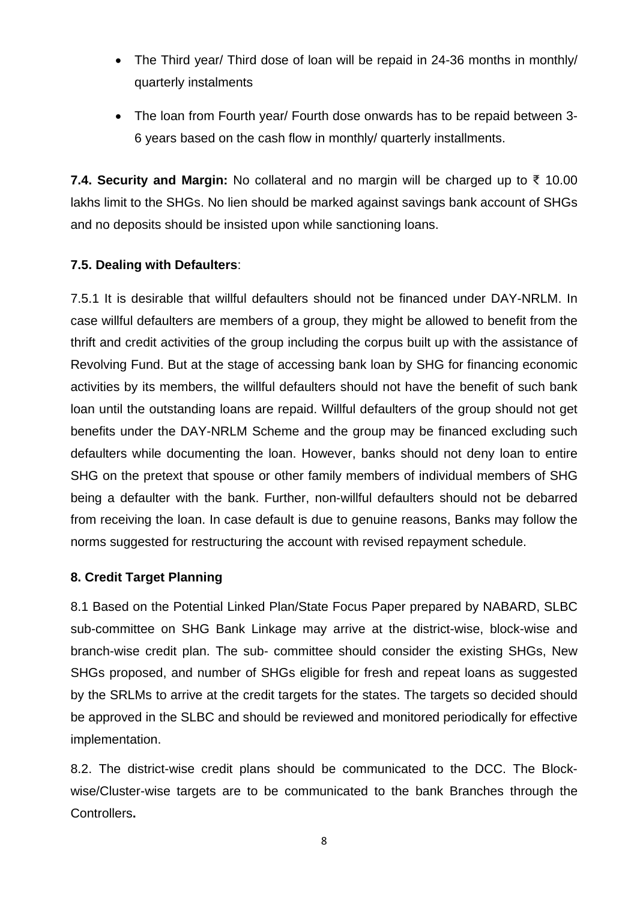- The Third year/ Third dose of loan will be repaid in 24-36 months in monthly/ quarterly instalments
- The loan from Fourth year/ Fourth dose onwards has to be repaid between 3- 6 years based on the cash flow in monthly/ quarterly installments.

**7.4. Security and Margin:** No collateral and no margin will be charged up to ₹ 10.00 lakhs limit to the SHGs. No lien should be marked against savings bank account of SHGs and no deposits should be insisted upon while sanctioning loans.

## **7.5. Dealing with Defaulters**:

7.5.1 It is desirable that willful defaulters should not be financed under DAY-NRLM. In case willful defaulters are members of a group, they might be allowed to benefit from the thrift and credit activities of the group including the corpus built up with the assistance of Revolving Fund. But at the stage of accessing bank loan by SHG for financing economic activities by its members, the willful defaulters should not have the benefit of such bank loan until the outstanding loans are repaid. Willful defaulters of the group should not get benefits under the DAY-NRLM Scheme and the group may be financed excluding such defaulters while documenting the loan. However, banks should not deny loan to entire SHG on the pretext that spouse or other family members of individual members of SHG being a defaulter with the bank. Further, non-willful defaulters should not be debarred from receiving the loan. In case default is due to genuine reasons, Banks may follow the norms suggested for restructuring the account with revised repayment schedule.

## **8. Credit Target Planning**

8.1 Based on the Potential Linked Plan/State Focus Paper prepared by NABARD, SLBC sub-committee on SHG Bank Linkage may arrive at the district-wise, block-wise and branch-wise credit plan. The sub- committee should consider the existing SHGs, New SHGs proposed, and number of SHGs eligible for fresh and repeat loans as suggested by the SRLMs to arrive at the credit targets for the states. The targets so decided should be approved in the SLBC and should be reviewed and monitored periodically for effective implementation.

8.2. The district-wise credit plans should be communicated to the DCC. The Blockwise/Cluster-wise targets are to be communicated to the bank Branches through the Controllers**.**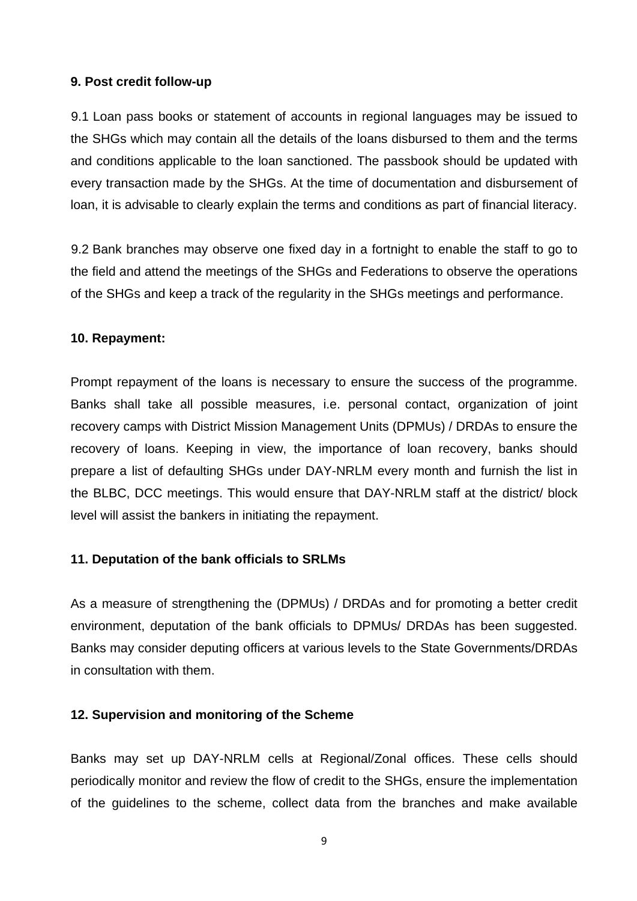#### **9. Post credit follow-up**

9.1 Loan pass books or statement of accounts in regional languages may be issued to the SHGs which may contain all the details of the loans disbursed to them and the terms and conditions applicable to the loan sanctioned. The passbook should be updated with every transaction made by the SHGs. At the time of documentation and disbursement of loan, it is advisable to clearly explain the terms and conditions as part of financial literacy.

9.2 Bank branches may observe one fixed day in a fortnight to enable the staff to go to the field and attend the meetings of the SHGs and Federations to observe the operations of the SHGs and keep a track of the regularity in the SHGs meetings and performance.

#### **10. Repayment:**

Prompt repayment of the loans is necessary to ensure the success of the programme. Banks shall take all possible measures, i.e. personal contact, organization of joint recovery camps with District Mission Management Units (DPMUs) / DRDAs to ensure the recovery of loans. Keeping in view, the importance of loan recovery, banks should prepare a list of defaulting SHGs under DAY-NRLM every month and furnish the list in the BLBC, DCC meetings. This would ensure that DAY-NRLM staff at the district/ block level will assist the bankers in initiating the repayment.

#### **11. Deputation of the bank officials to SRLMs**

As a measure of strengthening the (DPMUs) / DRDAs and for promoting a better credit environment, deputation of the bank officials to DPMUs/ DRDAs has been suggested. Banks may consider deputing officers at various levels to the State Governments/DRDAs in consultation with them.

#### **12. Supervision and monitoring of the Scheme**

Banks may set up DAY-NRLM cells at Regional/Zonal offices. These cells should periodically monitor and review the flow of credit to the SHGs, ensure the implementation of the guidelines to the scheme, collect data from the branches and make available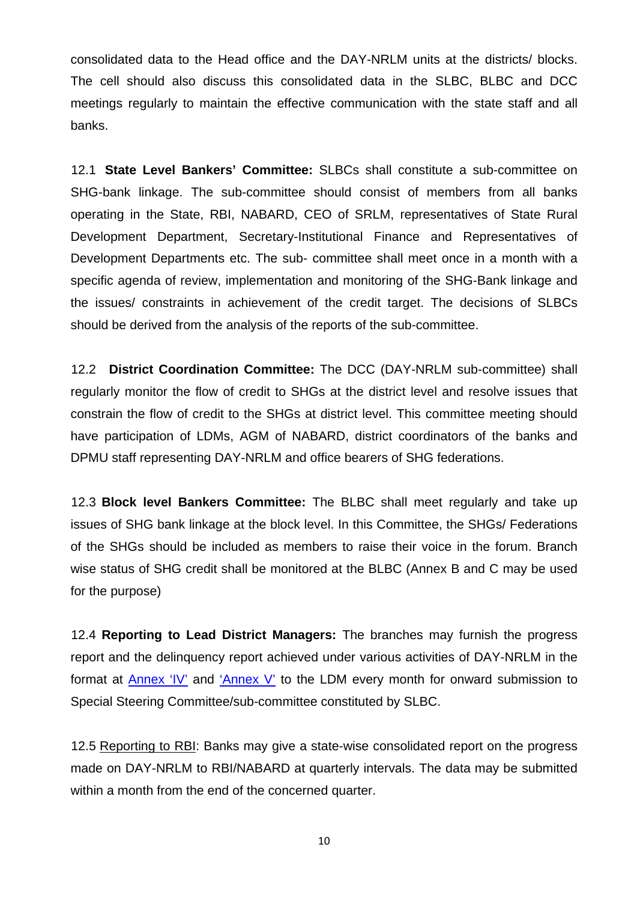consolidated data to the Head office and the DAY-NRLM units at the districts/ blocks. The cell should also discuss this consolidated data in the SLBC, BLBC and DCC meetings regularly to maintain the effective communication with the state staff and all banks.

12.1 **State Level Bankers' Committee:** SLBCs shall constitute a sub-committee on SHG-bank linkage. The sub-committee should consist of members from all banks operating in the State, RBI, NABARD, CEO of SRLM, representatives of State Rural Development Department, Secretary-Institutional Finance and Representatives of Development Departments etc. The sub- committee shall meet once in a month with a specific agenda of review, implementation and monitoring of the SHG-Bank linkage and the issues/ constraints in achievement of the credit target. The decisions of SLBCs should be derived from the analysis of the reports of the sub-committee.

12.2 **District Coordination Committee:** The DCC (DAY-NRLM sub-committee) shall regularly monitor the flow of credit to SHGs at the district level and resolve issues that constrain the flow of credit to the SHGs at district level. This committee meeting should have participation of LDMs, AGM of NABARD, district coordinators of the banks and DPMU staff representing DAY-NRLM and office bearers of SHG federations.

12.3 **Block level Bankers Committee:** The BLBC shall meet regularly and take up issues of SHG bank linkage at the block level. In this Committee, the SHGs/ Federations of the SHGs should be included as members to raise their voice in the forum. Branch wise status of SHG credit shall be monitored at the BLBC (Annex B and C may be used for the purpose)

12.4 **Reporting to Lead District Managers:** The branches may furnish the progress report and the delinquency report achieved under various activities of DAY-NRLM in the format at [Annex 'IV'](#page-26-0) and ['Annex V'](#page-27-0) to the LDM every month for onward submission to Special Steering Committee/sub-committee constituted by SLBC.

12.5 Reporting to RBI: Banks may give a state-wise consolidated report on the progress made on DAY-NRLM to RBI/NABARD at quarterly intervals. The data may be submitted within a month from the end of the concerned quarter.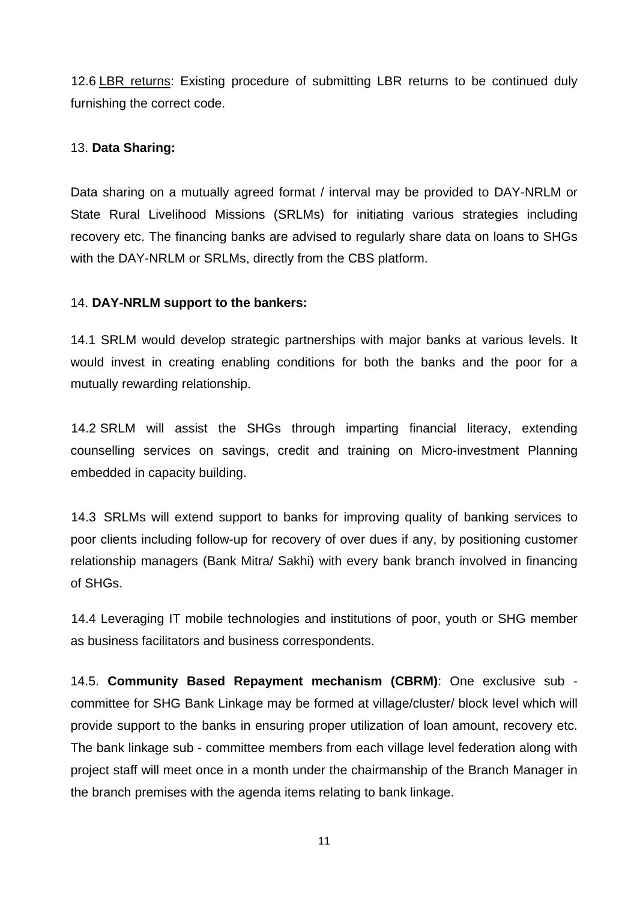12.6 LBR returns: Existing procedure of submitting LBR returns to be continued duly furnishing the correct code.

#### 13. **Data Sharing:**

Data sharing on a mutually agreed format / interval may be provided to DAY-NRLM or State Rural Livelihood Missions (SRLMs) for initiating various strategies including recovery etc. The financing banks are advised to regularly share data on loans to SHGs with the DAY-NRLM or SRLMs, directly from the CBS platform.

### 14. **DAY-NRLM support to the bankers:**

14.1 SRLM would develop strategic partnerships with major banks at various levels. It would invest in creating enabling conditions for both the banks and the poor for a mutually rewarding relationship.

14.2 SRLM will assist the SHGs through imparting financial literacy, extending counselling services on savings, credit and training on Micro-investment Planning embedded in capacity building.

14.3 SRLMs will extend support to banks for improving quality of banking services to poor clients including follow-up for recovery of over dues if any, by positioning customer relationship managers (Bank Mitra/ Sakhi) with every bank branch involved in financing of SHGs.

14.4 Leveraging IT mobile technologies and institutions of poor, youth or SHG member as business facilitators and business correspondents.

14.5. **Community Based Repayment mechanism (CBRM)**: One exclusive sub committee for SHG Bank Linkage may be formed at village/cluster/ block level which will provide support to the banks in ensuring proper utilization of loan amount, recovery etc. The bank linkage sub - committee members from each village level federation along with project staff will meet once in a month under the chairmanship of the Branch Manager in the branch premises with the agenda items relating to bank linkage.

11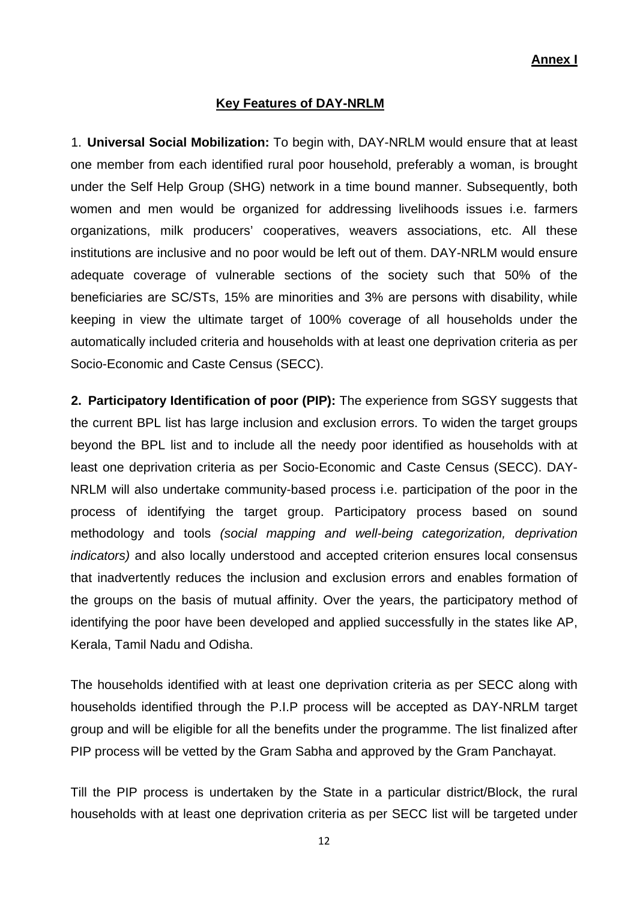#### **Key Features of DAY-NRLM**

<span id="page-12-0"></span>1. **Universal Social Mobilization:** To begin with, DAY-NRLM would ensure that at least one member from each identified rural poor household, preferably a woman, is brought under the Self Help Group (SHG) network in a time bound manner. Subsequently, both women and men would be organized for addressing livelihoods issues i.e. farmers organizations, milk producers' cooperatives, weavers associations, etc. All these institutions are inclusive and no poor would be left out of them. DAY-NRLM would ensure adequate coverage of vulnerable sections of the society such that 50% of the beneficiaries are SC/STs, 15% are minorities and 3% are persons with disability, while keeping in view the ultimate target of 100% coverage of all households under the automatically included criteria and households with at least one deprivation criteria as per Socio-Economic and Caste Census (SECC).

**2. Participatory Identification of poor (PIP):** The experience from SGSY suggests that the current BPL list has large inclusion and exclusion errors. To widen the target groups beyond the BPL list and to include all the needy poor identified as households with at least one deprivation criteria as per Socio-Economic and Caste Census (SECC). DAY-NRLM will also undertake community-based process i.e. participation of the poor in the process of identifying the target group. Participatory process based on sound methodology and tools *(social mapping and well-being categorization, deprivation indicators)* and also locally understood and accepted criterion ensures local consensus that inadvertently reduces the inclusion and exclusion errors and enables formation of the groups on the basis of mutual affinity. Over the years, the participatory method of identifying the poor have been developed and applied successfully in the states like AP, Kerala, Tamil Nadu and Odisha.

The households identified with at least one deprivation criteria as per SECC along with households identified through the P.I.P process will be accepted as DAY-NRLM target group and will be eligible for all the benefits under the programme. The list finalized after PIP process will be vetted by the Gram Sabha and approved by the Gram Panchayat.

Till the PIP process is undertaken by the State in a particular district/Block, the rural households with at least one deprivation criteria as per SECC list will be targeted under

12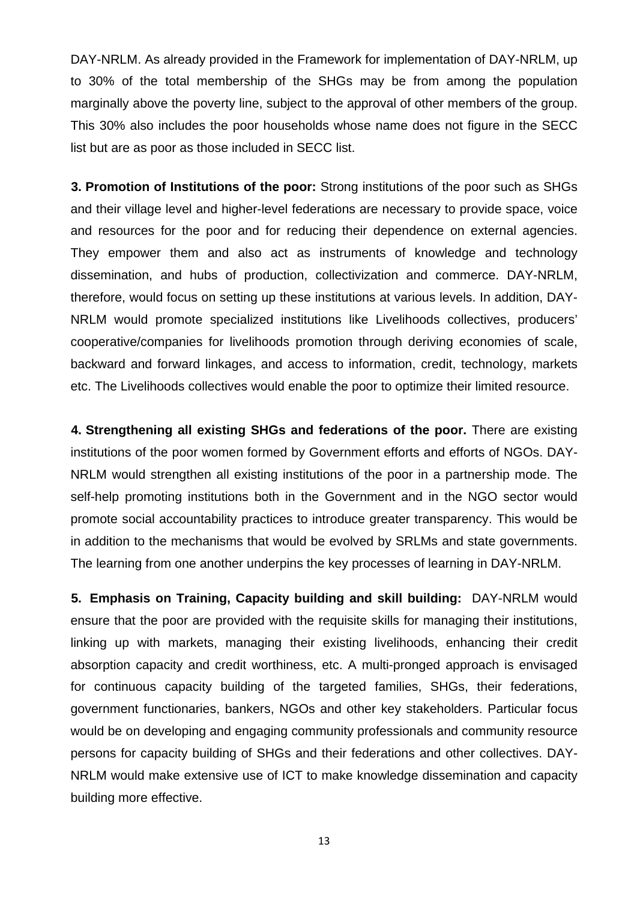DAY-NRLM. As already provided in the Framework for implementation of DAY-NRLM, up to 30% of the total membership of the SHGs may be from among the population marginally above the poverty line, subject to the approval of other members of the group. This 30% also includes the poor households whose name does not figure in the SECC list but are as poor as those included in SECC list.

**3. Promotion of Institutions of the poor:** Strong institutions of the poor such as SHGs and their village level and higher-level federations are necessary to provide space, voice and resources for the poor and for reducing their dependence on external agencies. They empower them and also act as instruments of knowledge and technology dissemination, and hubs of production, collectivization and commerce. DAY-NRLM, therefore, would focus on setting up these institutions at various levels. In addition, DAY-NRLM would promote specialized institutions like Livelihoods collectives, producers' cooperative/companies for livelihoods promotion through deriving economies of scale, backward and forward linkages, and access to information, credit, technology, markets etc. The Livelihoods collectives would enable the poor to optimize their limited resource.

**4. Strengthening all existing SHGs and federations of the poor.** There are existing institutions of the poor women formed by Government efforts and efforts of NGOs. DAY-NRLM would strengthen all existing institutions of the poor in a partnership mode. The self-help promoting institutions both in the Government and in the NGO sector would promote social accountability practices to introduce greater transparency. This would be in addition to the mechanisms that would be evolved by SRLMs and state governments. The learning from one another underpins the key processes of learning in DAY-NRLM.

**5. Emphasis on Training, Capacity building and skill building:** DAY-NRLM would ensure that the poor are provided with the requisite skills for managing their institutions, linking up with markets, managing their existing livelihoods, enhancing their credit absorption capacity and credit worthiness, etc. A multi-pronged approach is envisaged for continuous capacity building of the targeted families, SHGs, their federations, government functionaries, bankers, NGOs and other key stakeholders. Particular focus would be on developing and engaging community professionals and community resource persons for capacity building of SHGs and their federations and other collectives. DAY-NRLM would make extensive use of ICT to make knowledge dissemination and capacity building more effective.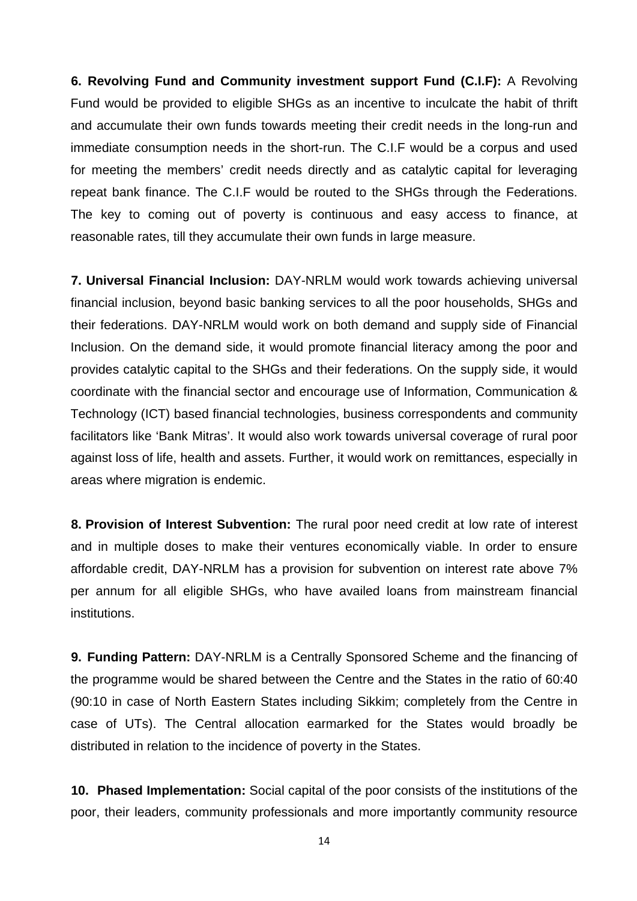**6. Revolving Fund and Community investment support Fund (C.I.F):** A Revolving Fund would be provided to eligible SHGs as an incentive to inculcate the habit of thrift and accumulate their own funds towards meeting their credit needs in the long-run and immediate consumption needs in the short-run. The C.I.F would be a corpus and used for meeting the members' credit needs directly and as catalytic capital for leveraging repeat bank finance. The C.I.F would be routed to the SHGs through the Federations. The key to coming out of poverty is continuous and easy access to finance, at reasonable rates, till they accumulate their own funds in large measure.

**7. Universal Financial Inclusion:** DAY-NRLM would work towards achieving universal financial inclusion, beyond basic banking services to all the poor households, SHGs and their federations. DAY-NRLM would work on both demand and supply side of Financial Inclusion. On the demand side, it would promote financial literacy among the poor and provides catalytic capital to the SHGs and their federations. On the supply side, it would coordinate with the financial sector and encourage use of Information, Communication & Technology (ICT) based financial technologies, business correspondents and community facilitators like 'Bank Mitras'. It would also work towards universal coverage of rural poor against loss of life, health and assets. Further, it would work on remittances, especially in areas where migration is endemic.

**8. Provision of Interest Subvention:** The rural poor need credit at low rate of interest and in multiple doses to make their ventures economically viable. In order to ensure affordable credit, DAY-NRLM has a provision for subvention on interest rate above 7% per annum for all eligible SHGs, who have availed loans from mainstream financial institutions.

**9. Funding Pattern:** DAY-NRLM is a Centrally Sponsored Scheme and the financing of the programme would be shared between the Centre and the States in the ratio of 60:40 (90:10 in case of North Eastern States including Sikkim; completely from the Centre in case of UTs). The Central allocation earmarked for the States would broadly be distributed in relation to the incidence of poverty in the States.

**10. Phased Implementation:** Social capital of the poor consists of the institutions of the poor, their leaders, community professionals and more importantly community resource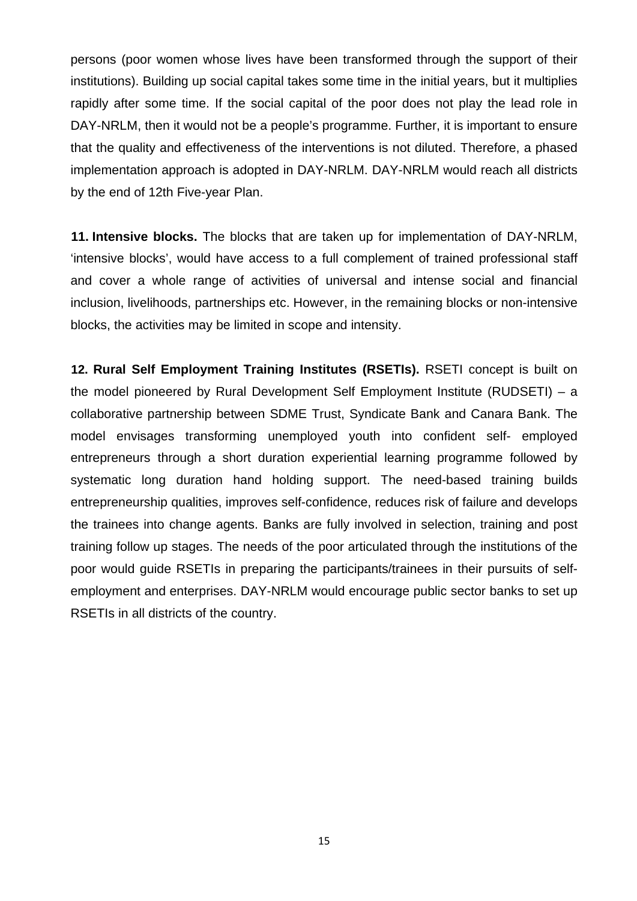persons (poor women whose lives have been transformed through the support of their institutions). Building up social capital takes some time in the initial years, but it multiplies rapidly after some time. If the social capital of the poor does not play the lead role in DAY-NRLM, then it would not be a people's programme. Further, it is important to ensure that the quality and effectiveness of the interventions is not diluted. Therefore, a phased implementation approach is adopted in DAY-NRLM. DAY-NRLM would reach all districts by the end of 12th Five-year Plan.

**11. Intensive blocks.** The blocks that are taken up for implementation of DAY-NRLM, 'intensive blocks', would have access to a full complement of trained professional staff and cover a whole range of activities of universal and intense social and financial inclusion, livelihoods, partnerships etc. However, in the remaining blocks or non-intensive blocks, the activities may be limited in scope and intensity.

**12. Rural Self Employment Training Institutes (RSETIs).** RSETI concept is built on the model pioneered by Rural Development Self Employment Institute (RUDSETI) – a collaborative partnership between SDME Trust, Syndicate Bank and Canara Bank. The model envisages transforming unemployed youth into confident self- employed entrepreneurs through a short duration experiential learning programme followed by systematic long duration hand holding support. The need-based training builds entrepreneurship qualities, improves self-confidence, reduces risk of failure and develops the trainees into change agents. Banks are fully involved in selection, training and post training follow up stages. The needs of the poor articulated through the institutions of the poor would guide RSETIs in preparing the participants/trainees in their pursuits of selfemployment and enterprises. DAY-NRLM would encourage public sector banks to set up RSETIs in all districts of the country.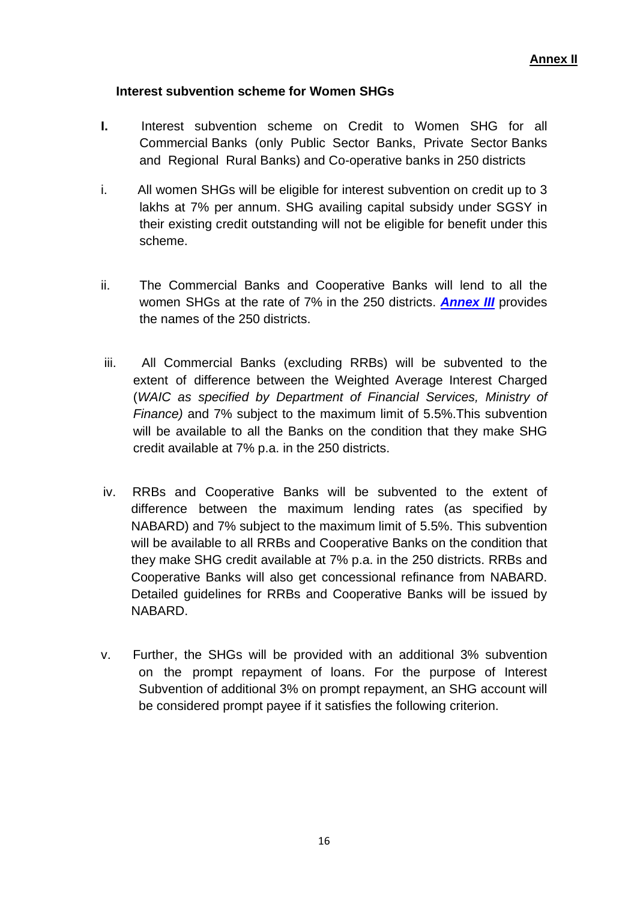### <span id="page-16-0"></span>**Interest subvention scheme for Women SHGs**

- **I.** Interest subvention scheme on Credit to Women SHG for all Commercial Banks (only Public Sector Banks, Private Sector Banks and Regional Rural Banks) and Co-operative banks in 250 districts
- i. All women SHGs will be eligible for interest subvention on credit up to 3 lakhs at 7% per annum. SHG availing capital subsidy under SGSY in their existing credit outstanding will not be eligible for benefit under this scheme.
- ii. The Commercial Banks and Cooperative Banks will lend to all the women SHGs at the rate of 7% in the 250 districts. *[Annex III](#page-20-0)* provides the names of the 250 districts.
- iii. All Commercial Banks (excluding RRBs) will be subvented to the extent of difference between the Weighted Average Interest Charged (*WAIC as specified by Department of Financial Services, Ministry of Finance)* and 7% subject to the maximum limit of 5.5%.This subvention will be available to all the Banks on the condition that they make SHG credit available at 7% p.a. in the 250 districts.
- iv. RRBs and Cooperative Banks will be subvented to the extent of difference between the maximum lending rates (as specified by NABARD) and 7% subject to the maximum limit of 5.5%. This subvention will be available to all RRBs and Cooperative Banks on the condition that they make SHG credit available at 7% p.a. in the 250 districts. RRBs and Cooperative Banks will also get concessional refinance from NABARD. Detailed guidelines for RRBs and Cooperative Banks will be issued by NABARD.
- v. Further, the SHGs will be provided with an additional 3% subvention on the prompt repayment of loans. For the purpose of Interest Subvention of additional 3% on prompt repayment, an SHG account will be considered prompt payee if it satisfies the following criterion.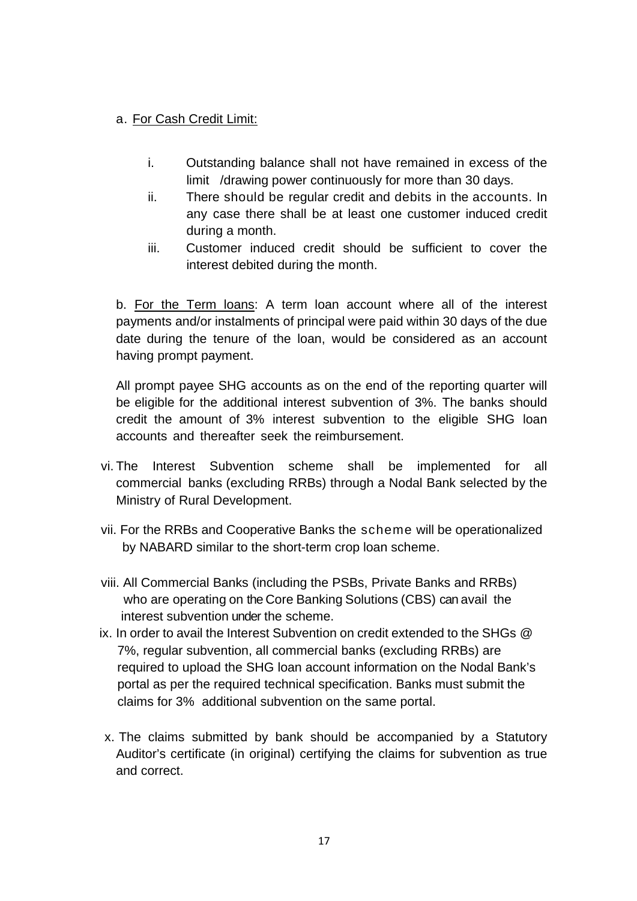## a. For Cash Credit Limit:

- i. Outstanding balance shall not have remained in excess of the limit /drawing power continuously for more than 30 days.
- ii. There should be regular credit and debits in the accounts. In any case there shall be at least one customer induced credit during a month.
- iii. Customer induced credit should be sufficient to cover the interest debited during the month.

b. For the Term loans: A term loan account where all of the interest payments and/or instalments of principal were paid within 30 days of the due date during the tenure of the loan, would be considered as an account having prompt payment.

All prompt payee SHG accounts as on the end of the reporting quarter will be eligible for the additional interest subvention of 3%. The banks should credit the amount of 3% interest subvention to the eligible SHG loan accounts and thereafter seek the reimbursement.

- vi. The Interest Subvention scheme shall be implemented for all commercial banks (excluding RRBs) through a Nodal Bank selected by the Ministry of Rural Development.
- vii. For the RRBs and Cooperative Banks the scheme will be operationalized by NABARD similar to the short-term crop loan scheme.
- viii. All Commercial Banks (including the PSBs, Private Banks and RRBs) who are operating on the Core Banking Solutions (CBS) can avail the interest subvention under the scheme.
- ix. In order to avail the Interest Subvention on credit extended to the SHGs @ 7%, regular subvention, all commercial banks (excluding RRBs) are required to upload the SHG loan account information on the Nodal Bank's portal as per the required technical specification. Banks must submit the claims for 3% additional subvention on the same portal.
- x. The claims submitted by bank should be accompanied by a Statutory Auditor's certificate (in original) certifying the claims for subvention as true and correct.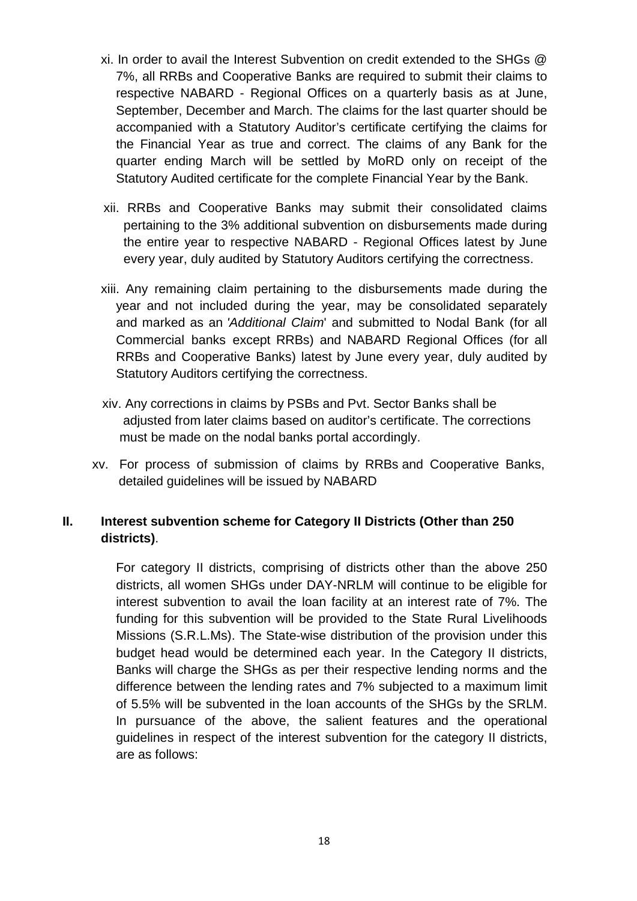- xi. In order to avail the Interest Subvention on credit extended to the SHGs @ 7%, all RRBs and Cooperative Banks are required to submit their claims to respective NABARD - Regional Offices on a quarterly basis as at June, September, December and March. The claims for the last quarter should be accompanied with a Statutory Auditor's certificate certifying the claims for the Financial Year as true and correct. The claims of any Bank for the quarter ending March will be settled by MoRD only on receipt of the Statutory Audited certificate for the complete Financial Year by the Bank.
- xii. RRBs and Cooperative Banks may submit their consolidated claims pertaining to the 3% additional subvention on disbursements made during the entire year to respective NABARD - Regional Offices latest by June every year, duly audited by Statutory Auditors certifying the correctness.
- xiii. Any remaining claim pertaining to the disbursements made during the year and not included during the year, may be consolidated separately and marked as an *'Additional Claim*' and submitted to Nodal Bank (for all Commercial banks except RRBs) and NABARD Regional Offices (for all RRBs and Cooperative Banks) latest by June every year, duly audited by Statutory Auditors certifying the correctness.
- xiv. Any corrections in claims by PSBs and Pvt. Sector Banks shall be adjusted from later claims based on auditor's certificate. The corrections must be made on the nodal banks portal accordingly.
- xv. For process of submission of claims by RRBs and Cooperative Banks, detailed guidelines will be issued by NABARD

## **II. Interest subvention scheme for Category II Districts (Other than 250 districts)**.

For category II districts, comprising of districts other than the above 250 districts, all women SHGs under DAY-NRLM will continue to be eligible for interest subvention to avail the loan facility at an interest rate of 7%. The funding for this subvention will be provided to the State Rural Livelihoods Missions (S.R.L.Ms). The State-wise distribution of the provision under this budget head would be determined each year. In the Category II districts, Banks will charge the SHGs as per their respective lending norms and the difference between the lending rates and 7% subjected to a maximum limit of 5.5% will be subvented in the loan accounts of the SHGs by the SRLM. In pursuance of the above, the salient features and the operational guidelines in respect of the interest subvention for the category II districts, are as follows: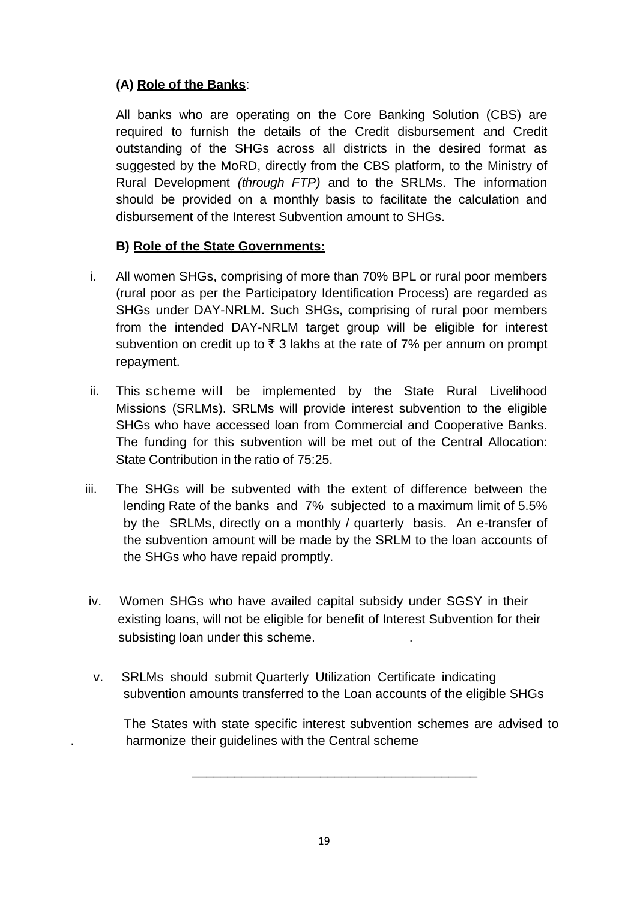## **(A) Role of the Banks**:

All banks who are operating on the Core Banking Solution (CBS) are required to furnish the details of the Credit disbursement and Credit outstanding of the SHGs across all districts in the desired format as suggested by the MoRD, directly from the CBS platform, to the Ministry of Rural Development *(through FTP)* and to the SRLMs. The information should be provided on a monthly basis to facilitate the calculation and disbursement of the Interest Subvention amount to SHGs.

## **B) Role of the State Governments:**

- i. All women SHGs, comprising of more than 70% BPL or rural poor members (rural poor as per the Participatory Identification Process) are regarded as SHGs under DAY-NRLM. Such SHGs, comprising of rural poor members from the intended DAY-NRLM target group will be eligible for interest subvention on credit up to  $\bar{\tau}$  3 lakhs at the rate of 7% per annum on prompt repayment.
- ii. This scheme will be implemented by the State Rural Livelihood Missions (SRLMs). SRLMs will provide interest subvention to the eligible SHGs who have accessed loan from Commercial and Cooperative Banks. The funding for this subvention will be met out of the Central Allocation: State Contribution in the ratio of 75:25.
- iii. The SHGs will be subvented with the extent of difference between the lending Rate of the banks and 7% subjected to a maximum limit of 5.5% by the SRLMs, directly on a monthly / quarterly basis. An e-transfer of the subvention amount will be made by the SRLM to the loan accounts of the SHGs who have repaid promptly.
- iv. Women SHGs who have availed capital subsidy under SGSY in their existing loans, will not be eligible for benefit of Interest Subvention for their subsisting loan under this scheme.
- v. SRLMs should submit Quarterly Utilization Certificate indicating subvention amounts transferred to the Loan accounts of the eligible SHGs

 $\frac{1}{\sqrt{2}}$  ,  $\frac{1}{\sqrt{2}}$  ,  $\frac{1}{\sqrt{2}}$  ,  $\frac{1}{\sqrt{2}}$  ,  $\frac{1}{\sqrt{2}}$  ,  $\frac{1}{\sqrt{2}}$  ,  $\frac{1}{\sqrt{2}}$  ,  $\frac{1}{\sqrt{2}}$  ,  $\frac{1}{\sqrt{2}}$  ,  $\frac{1}{\sqrt{2}}$  ,  $\frac{1}{\sqrt{2}}$  ,  $\frac{1}{\sqrt{2}}$  ,  $\frac{1}{\sqrt{2}}$  ,  $\frac{1}{\sqrt{2}}$  ,  $\frac{1}{\sqrt{2}}$ 

 The States with state specific interest subvention schemes are advised to harmonize their guidelines with the Central scheme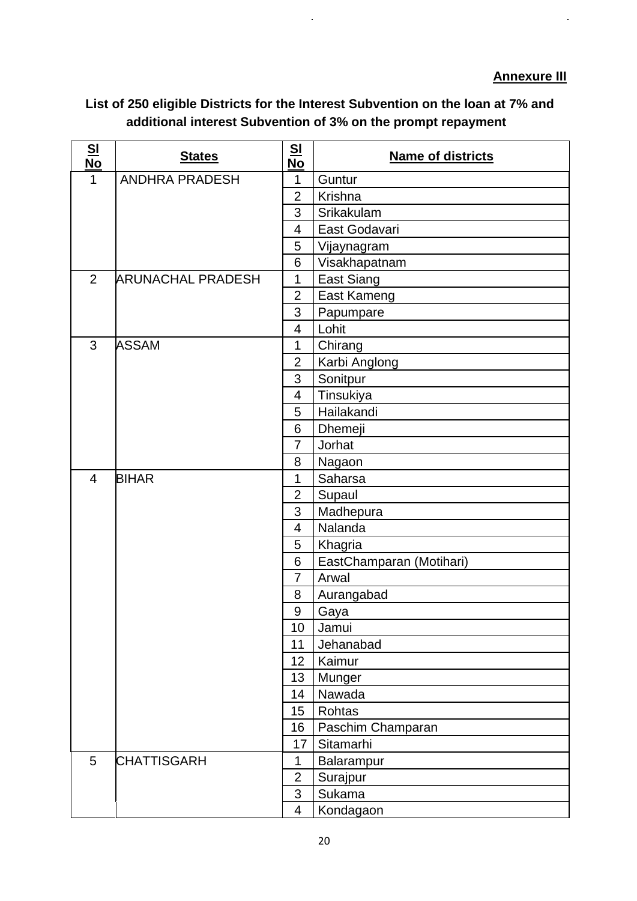## **Annexure III**

 $\hat{\mathbf{r}}$ 

## <span id="page-20-0"></span>**List of 250 eligible Districts for the Interest Subvention on the loan at 7% and additional interest Subvention of 3% on the prompt repayment**

 $\mathcal{L}^{\text{max}}$ 

| $\underline{\underline{\mathbf{S}}}$<br>$No$ | <b>States</b>            | $\underline{\mathbf{S}}$<br><u>No</u> | <b>Name of districts</b> |  |  |  |
|----------------------------------------------|--------------------------|---------------------------------------|--------------------------|--|--|--|
| $\mathbf 1$                                  | <b>ANDHRA PRADESH</b>    | 1                                     | Guntur                   |  |  |  |
|                                              |                          | $\overline{2}$                        | Krishna                  |  |  |  |
|                                              |                          | 3                                     | Srikakulam               |  |  |  |
|                                              |                          | $\overline{4}$                        | East Godavari            |  |  |  |
|                                              |                          | 5                                     | Vijaynagram              |  |  |  |
|                                              |                          | 6                                     | Visakhapatnam            |  |  |  |
| $\overline{2}$                               | <b>ARUNACHAL PRADESH</b> | 1                                     | East Siang               |  |  |  |
|                                              |                          | $\overline{2}$                        | East Kameng              |  |  |  |
|                                              |                          | 3                                     | Papumpare                |  |  |  |
|                                              |                          | $\overline{4}$                        | Lohit                    |  |  |  |
| 3                                            | <b>ASSAM</b>             | 1                                     | Chirang                  |  |  |  |
|                                              |                          | $\overline{2}$                        | Karbi Anglong            |  |  |  |
|                                              |                          | 3                                     | Sonitpur                 |  |  |  |
|                                              |                          | $\overline{\mathcal{A}}$              | Tinsukiya                |  |  |  |
|                                              |                          | 5                                     | Hailakandi               |  |  |  |
|                                              |                          | 6                                     | Dhemeji                  |  |  |  |
|                                              |                          | 7                                     | <b>Jorhat</b>            |  |  |  |
|                                              |                          | 8                                     | Nagaon                   |  |  |  |
| $\overline{4}$                               | <b>BIHAR</b>             | 1                                     | Saharsa                  |  |  |  |
|                                              |                          | $\overline{2}$                        | Supaul                   |  |  |  |
|                                              |                          | 3                                     | Madhepura                |  |  |  |
|                                              |                          | $\overline{4}$                        | Nalanda                  |  |  |  |
|                                              |                          | 5                                     | Khagria                  |  |  |  |
|                                              |                          | 6                                     | EastChamparan (Motihari) |  |  |  |
|                                              |                          | 7                                     | Arwal                    |  |  |  |
|                                              |                          | 8                                     | Aurangabad               |  |  |  |
|                                              |                          | 9                                     | Gaya                     |  |  |  |
|                                              |                          | 10                                    | Jamui                    |  |  |  |
|                                              |                          | 11                                    | Jehanabad                |  |  |  |
|                                              |                          | 12                                    | Kaimur                   |  |  |  |
|                                              |                          | 13                                    | Munger                   |  |  |  |
|                                              |                          | 14                                    | Nawada                   |  |  |  |
|                                              |                          | 15                                    | Rohtas                   |  |  |  |
|                                              |                          | 16                                    | Paschim Champaran        |  |  |  |
|                                              |                          | 17                                    | Sitamarhi                |  |  |  |
| 5                                            | <b>CHATTISGARH</b>       | 1                                     | Balarampur               |  |  |  |
|                                              |                          | $\overline{2}$                        | Surajpur                 |  |  |  |
|                                              |                          | 3                                     | Sukama                   |  |  |  |
|                                              |                          | 4                                     | Kondagaon                |  |  |  |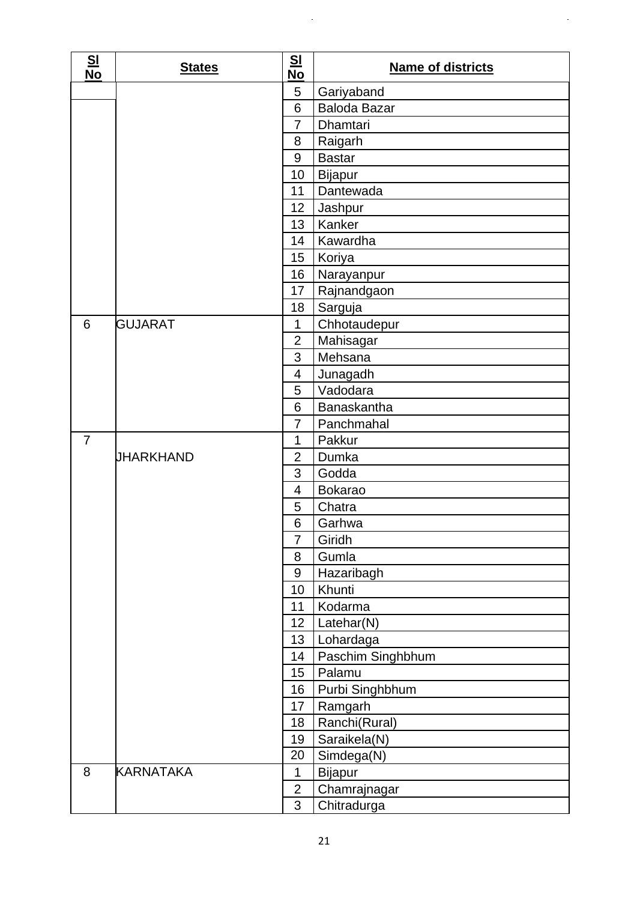| S <sub>1</sub><br>N <sub>O</sub> | <b>States</b>    | S <sub>1</sub><br><u>No</u> | <b>Name of districts</b> |
|----------------------------------|------------------|-----------------------------|--------------------------|
|                                  |                  | 5                           | Gariyaband               |
|                                  |                  | 6                           | <b>Baloda Bazar</b>      |
|                                  |                  | $\overline{7}$              | <b>Dhamtari</b>          |
|                                  |                  | 8                           | Raigarh                  |
|                                  |                  | 9                           | <b>Bastar</b>            |
|                                  |                  | 10                          | <b>Bijapur</b>           |
|                                  |                  | 11                          | Dantewada                |
|                                  |                  |                             | Jashpur                  |
|                                  |                  |                             | Kanker                   |
|                                  |                  | 14                          | Kawardha                 |
|                                  |                  | 15                          | Koriya                   |
|                                  |                  | 16                          | Narayanpur               |
|                                  |                  | 17                          | Rajnandgaon              |
|                                  |                  | 18                          | Sarguja                  |
| 6                                | <b>GUJARAT</b>   | 1                           | Chhotaudepur             |
|                                  |                  | $\overline{2}$              | Mahisagar                |
|                                  |                  | 3                           | Mehsana                  |
|                                  |                  | 4                           | Junagadh                 |
|                                  |                  | 5                           | Vadodara                 |
|                                  |                  | 6                           | Banaskantha              |
|                                  |                  | $\overline{7}$              | Panchmahal               |
| $\overline{7}$                   |                  | 1                           | Pakkur                   |
|                                  | <b>JHARKHAND</b> | $\overline{2}$              | Dumka                    |
|                                  |                  | 3                           | Godda                    |
|                                  |                  | 4                           | <b>Bokarao</b>           |
|                                  |                  | 5                           | Chatra                   |
|                                  |                  | 6                           | Garhwa                   |
|                                  |                  | $\overline{7}$              | Giridh                   |
|                                  |                  | 8                           | Gumla                    |
|                                  |                  | 9                           | Hazaribagh               |
|                                  |                  | 10                          | Khunti                   |
|                                  |                  | 11                          | Kodarma                  |
|                                  |                  | 12                          | Latehar(N)               |
|                                  |                  | 13                          | Lohardaga                |
|                                  |                  | 14                          | Paschim Singhbhum        |
|                                  |                  | 15                          | Palamu                   |
|                                  |                  | 16                          | Purbi Singhbhum          |
|                                  |                  | 17                          | Ramgarh                  |
|                                  |                  | 18                          | Ranchi(Rural)            |
|                                  |                  | 19                          | Saraikela(N)             |
|                                  |                  | 20                          | Simdega(N)               |
| 8                                | <b>KARNATAKA</b> | 1                           | <b>Bijapur</b>           |
|                                  |                  | $\overline{2}$              | Chamrajnagar             |
|                                  |                  | 3                           | Chitradurga              |

 $\mathcal{L}_{\mathcal{A}}$ 

 $\hat{\mathcal{A}}$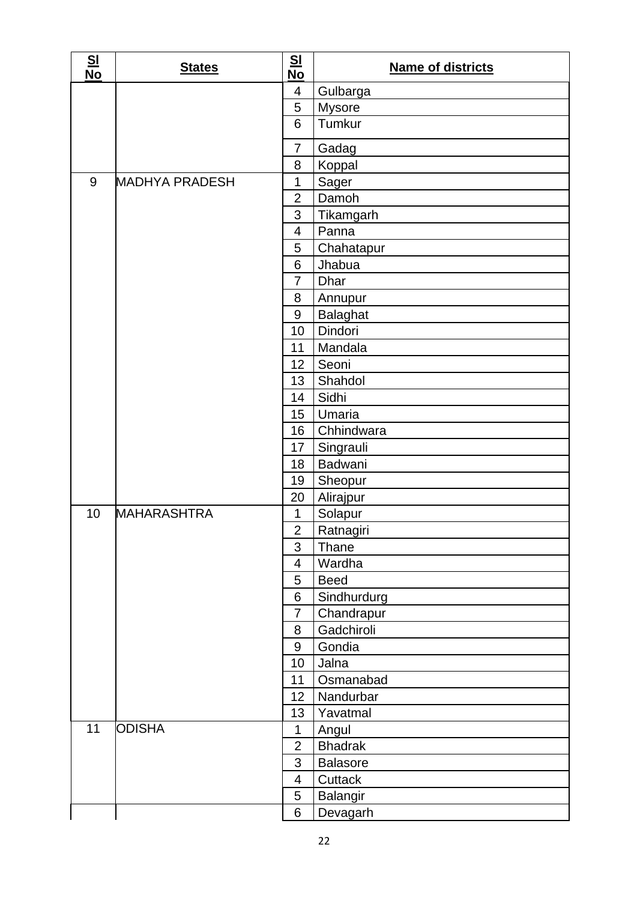| $\frac{\mathsf{SI}}{\mathsf{No}}$ | <b>States</b>         | $\frac{SI}{No}$  | <b>Name of districts</b> |
|-----------------------------------|-----------------------|------------------|--------------------------|
|                                   |                       | $\overline{4}$   | Gulbarga                 |
|                                   |                       | 5                | <b>Mysore</b>            |
|                                   |                       | 6                | Tumkur                   |
|                                   |                       | $\overline{7}$   | Gadag                    |
|                                   |                       | 8                | Koppal                   |
| 9                                 | <b>MADHYA PRADESH</b> | 1                | Sager                    |
|                                   |                       | $\overline{2}$   | Damoh                    |
|                                   |                       | 3                | Tikamgarh                |
|                                   |                       | 4                | Panna                    |
|                                   |                       | 5                | Chahatapur               |
|                                   |                       | 6                | Jhabua                   |
|                                   |                       | $\overline{7}$   | <b>Dhar</b>              |
|                                   |                       | 8                | Annupur                  |
|                                   |                       | 9                | <b>Balaghat</b>          |
|                                   |                       | 10               | Dindori                  |
|                                   |                       | 11               | Mandala                  |
|                                   |                       | 12               | Seoni                    |
|                                   |                       | 13               | Shahdol                  |
|                                   |                       | 14               | Sidhi                    |
|                                   |                       | 15               | Umaria                   |
|                                   |                       | 16               | Chhindwara               |
|                                   |                       | 17               | Singrauli                |
|                                   |                       | 18               | Badwani                  |
|                                   |                       | 19               | Sheopur                  |
|                                   |                       | 20               | Alirajpur                |
| 10                                | <b>MAHARASHTRA</b>    | 1                | Solapur                  |
|                                   |                       | $\overline{c}$   | Ratnagiri                |
|                                   |                       | 3                | Thane                    |
|                                   |                       | 4                | Wardha                   |
|                                   |                       | 5                | <b>Beed</b>              |
|                                   |                       | 6                | Sindhurdurg              |
|                                   |                       | $\overline{7}$   | Chandrapur               |
|                                   |                       | 8                | Gadchiroli               |
|                                   |                       | $\boldsymbol{9}$ | Gondia                   |
|                                   |                       | 10               | Jalna                    |
|                                   |                       | 11               | Osmanabad                |
|                                   |                       | 12               | Nandurbar                |
|                                   |                       | 13               | Yavatmal                 |
| 11                                | <b>ODISHA</b>         | $\mathbf 1$      | Angul                    |
|                                   |                       | $\overline{2}$   | <b>Bhadrak</b>           |
|                                   |                       | 3                | <b>Balasore</b>          |
|                                   |                       | 4                | Cuttack                  |
|                                   |                       | 5                | Balangir                 |
|                                   |                       | 6                | Devagarh                 |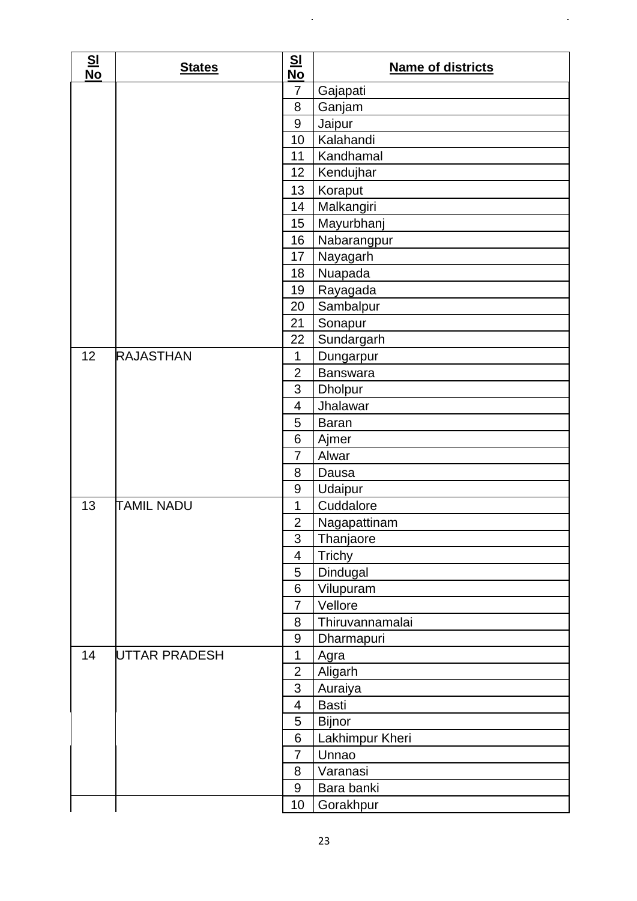| S <sub>1</sub><br>$N_{\Omega}$ | <b>States</b>     | S <sub>1</sub><br><b>No</b> | <b>Name of districts</b> |
|--------------------------------|-------------------|-----------------------------|--------------------------|
|                                |                   | 7                           | Gajapati                 |
|                                |                   | 8                           | Ganjam                   |
|                                |                   | $\boldsymbol{9}$            | Jaipur                   |
|                                |                   | 10                          | Kalahandi                |
|                                |                   | 11                          | Kandhamal                |
|                                |                   | 12                          | Kendujhar                |
|                                |                   | 13                          | Koraput                  |
|                                |                   | 14                          | Malkangiri               |
|                                |                   | 15                          | Mayurbhanj               |
|                                |                   | 16                          | Nabarangpur              |
|                                |                   | 17                          | Nayagarh                 |
|                                |                   | 18                          | Nuapada                  |
|                                |                   | 19                          | Rayagada                 |
|                                |                   | 20                          | Sambalpur                |
|                                |                   | 21                          | Sonapur                  |
|                                |                   | 22                          | Sundargarh               |
| 12                             | <b>RAJASTHAN</b>  | $\mathbf{1}$                | Dungarpur                |
|                                |                   | $\overline{2}$              | <b>Banswara</b>          |
|                                |                   | 3                           | <b>Dholpur</b>           |
|                                |                   | 4                           | Jhalawar                 |
|                                |                   | 5                           | <b>Baran</b>             |
|                                |                   | 6                           | Ajmer                    |
|                                |                   | $\overline{7}$              | Alwar                    |
|                                |                   | 8                           | Dausa                    |
|                                |                   | 9                           | Udaipur                  |
| 13                             | <b>TAMIL NADU</b> | 1                           | Cuddalore                |
|                                |                   | $\overline{2}$              | Nagapattinam             |
|                                |                   | 3                           | Thanjaore                |
|                                |                   | $\overline{\mathcal{A}}$    | Trichy                   |
|                                |                   | 5                           | Dindugal                 |
|                                |                   | 6                           | Vilupuram                |
|                                |                   | $\overline{7}$              | Vellore                  |
|                                |                   | 8                           | Thiruvannamalai          |
|                                |                   | 9                           | Dharmapuri               |
| 14                             | UTTAR PRADESH     | 1                           | Agra                     |
|                                |                   | $\overline{2}$              | Aligarh                  |
|                                |                   | 3                           | Auraiya                  |
|                                |                   | 4                           | <b>Basti</b>             |
|                                |                   | 5                           | <b>Bijnor</b>            |
|                                |                   | 6                           | Lakhimpur Kheri          |
|                                |                   | $\overline{7}$              | Unnao                    |
|                                |                   | 8                           | Varanasi                 |
|                                |                   | 9                           | Bara banki               |
|                                |                   | 10                          | Gorakhpur                |

 $\mathcal{A}^{\mathcal{A}}$ 

 $\hat{\mathcal{L}}$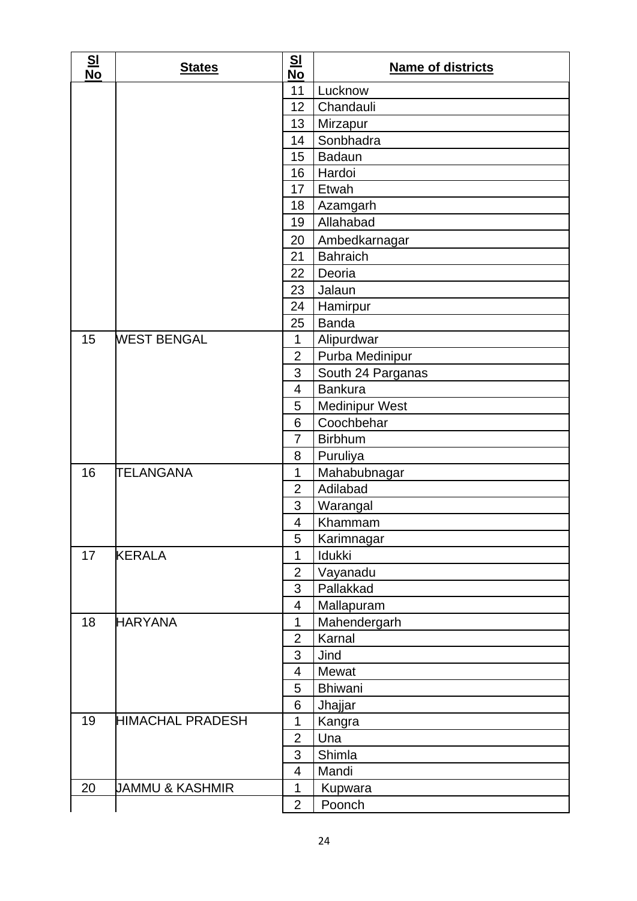| S <sub>1</sub><br><b>No</b> | <b>States</b>           | S <sub>1</sub><br><b>No</b> | <b>Name of districts</b> |
|-----------------------------|-------------------------|-----------------------------|--------------------------|
|                             |                         | 11                          | Lucknow                  |
|                             |                         | 12                          | Chandauli                |
|                             |                         | 13                          | Mirzapur                 |
|                             |                         | 14                          | Sonbhadra                |
|                             |                         | 15                          | <b>Badaun</b>            |
|                             |                         | 16                          | Hardoi                   |
|                             |                         | 17                          | Etwah                    |
|                             |                         | 18                          | Azamgarh                 |
|                             |                         | 19                          | Allahabad                |
|                             |                         | 20                          | Ambedkarnagar            |
|                             |                         | 21                          | <b>Bahraich</b>          |
|                             |                         | 22                          | Deoria                   |
|                             |                         | 23                          | Jalaun                   |
|                             |                         | 24                          | Hamirpur                 |
|                             |                         | 25                          | <b>Banda</b>             |
| 15                          | <b>WEST BENGAL</b>      | 1                           | Alipurdwar               |
|                             |                         | $\overline{2}$              | Purba Medinipur          |
|                             |                         | 3                           | South 24 Parganas        |
|                             |                         | 4                           | <b>Bankura</b>           |
|                             |                         | 5                           | <b>Medinipur West</b>    |
|                             |                         | 6                           | Coochbehar               |
|                             |                         | $\overline{7}$              | <b>Birbhum</b>           |
|                             |                         | 8                           | Puruliya                 |
| 16                          | <b>TELANGANA</b>        | 1                           | Mahabubnagar             |
|                             |                         | $\overline{2}$              | Adilabad                 |
|                             |                         | 3                           | Warangal                 |
|                             |                         | 4                           | Khammam                  |
|                             |                         | 5                           | Karimnagar               |
| 17                          | <b>KERALA</b>           | $\overline{1}$              | Idukki                   |
|                             |                         | $\overline{2}$              | Vayanadu                 |
|                             |                         | 3                           | Pallakkad                |
|                             |                         | 4                           | Mallapuram               |
| 18                          | <b>HARYANA</b>          | 1                           | Mahendergarh             |
|                             |                         | $\overline{2}$              | Karnal                   |
|                             |                         | 3                           | Jind                     |
|                             |                         | 4                           | <b>Mewat</b>             |
|                             |                         | 5                           | <b>Bhiwani</b>           |
|                             |                         | 6                           | Jhajjar                  |
| 19                          | <b>HIMACHAL PRADESH</b> | $\mathbf{1}$                | Kangra                   |
|                             |                         | $\overline{2}$              | Una                      |
|                             |                         | 3                           | Shimla                   |
|                             |                         | 4                           | Mandi                    |
| 20                          | JAMMU & KASHMIR         | 1                           | Kupwara                  |
|                             |                         | $\overline{2}$              | Poonch                   |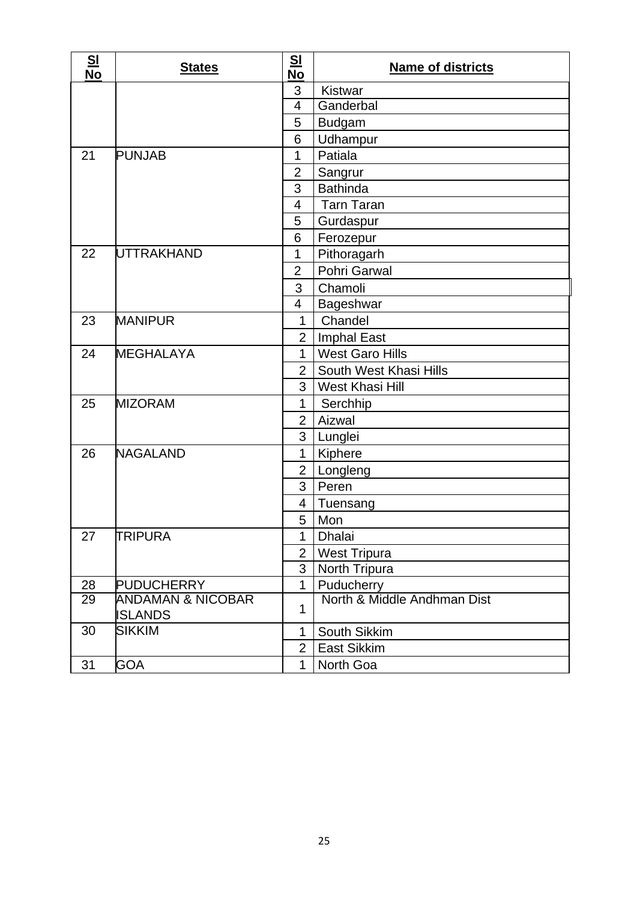| <b>No</b><br><u>No</u>                                                                              | <b>Name of districts</b> |
|-----------------------------------------------------------------------------------------------------|--------------------------|
| 3<br>Kistwar                                                                                        |                          |
| Ganderbal<br>4                                                                                      |                          |
| 5<br><b>Budgam</b>                                                                                  |                          |
| 6<br>Udhampur                                                                                       |                          |
| Patiala<br>21<br><b>PUNJAB</b><br>1                                                                 |                          |
| $\overline{2}$<br>Sangrur                                                                           |                          |
| 3<br><b>Bathinda</b>                                                                                |                          |
| 4<br><b>Tarn Taran</b>                                                                              |                          |
| 5<br>Gurdaspur                                                                                      |                          |
| 6<br>Ferozepur                                                                                      |                          |
| 22<br><b>UTTRAKHAND</b><br>Pithoragarh<br>1                                                         |                          |
| Pohri Garwal<br>$\overline{2}$                                                                      |                          |
| 3<br>Chamoli                                                                                        |                          |
| 4<br>Bageshwar                                                                                      |                          |
| Chandel<br>23<br><b>MANIPUR</b><br>1                                                                |                          |
| $\overline{2}$<br>Imphal East                                                                       |                          |
| <b>West Garo Hills</b><br>24<br><b>MEGHALAYA</b><br>1                                               |                          |
| $\overline{2}$<br>South West Khasi Hills                                                            |                          |
| 3<br>West Khasi Hill                                                                                |                          |
| <b>MIZORAM</b><br>25<br>$\mathbf{1}$<br>Serchhip                                                    |                          |
| $\overline{2}$<br>Aizwal                                                                            |                          |
| 3<br>Lunglei                                                                                        |                          |
| $\mathbf{1}$<br>26<br><b>NAGALAND</b><br>Kiphere                                                    |                          |
| $\overline{2}$<br>Longleng                                                                          |                          |
| 3<br>Peren                                                                                          |                          |
| Tuensang<br>4                                                                                       |                          |
| 5<br>Mon                                                                                            |                          |
| 27<br>Dhalai<br><b>TRIPURA</b><br>1                                                                 |                          |
| $\overline{2}$<br><b>West Tripura</b>                                                               |                          |
| $\overline{3}$<br>North Tripura                                                                     |                          |
| 28<br><b>PUDUCHERRY</b><br>$\mathbf{1}$<br>Puducherry                                               |                          |
| North & Middle Andhman Dist<br>29<br><b>ANDAMAN &amp; NICOBAR</b><br>$\mathbf{1}$<br><b>ISLANDS</b> |                          |
| 30<br><b>SIKKIM</b><br>$\mathbf{1}$<br>South Sikkim                                                 |                          |
| $\overline{2}$<br><b>East Sikkim</b>                                                                |                          |
| <b>GOA</b><br>31<br>$\mathbf{1}$<br>North Goa                                                       |                          |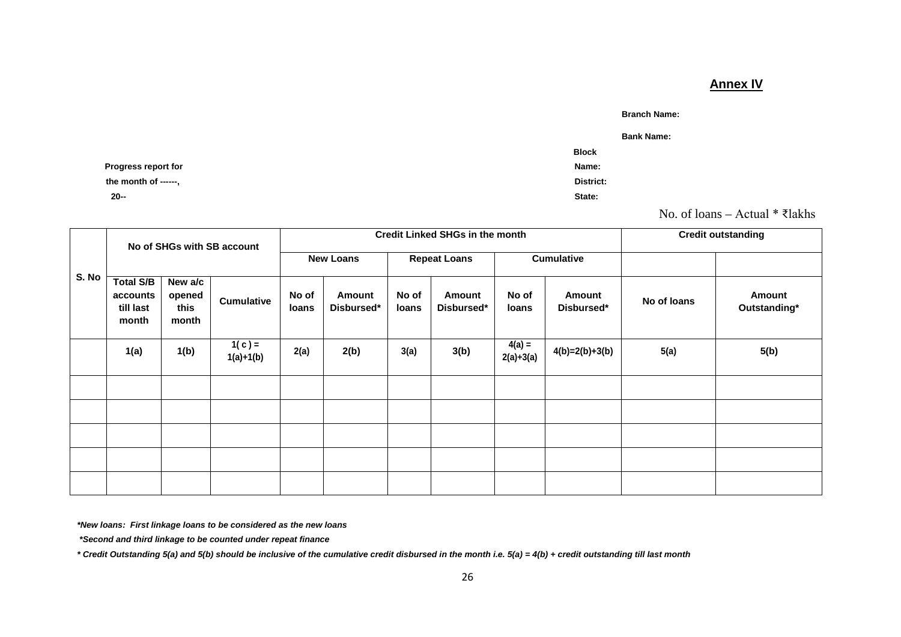### **Annex IV**

#### **Branch Name:**

#### **Bank Name:**

**Block**

**20-- State:**

<span id="page-26-0"></span>No. of loans – Actual \* ₹lakhs

|       | No of SHGs with SB account                         |                                    |                         | <b>Credit Linked SHGs in the month</b> |                      |                     |                      |                         |                      | <b>Credit outstanding</b> |                               |
|-------|----------------------------------------------------|------------------------------------|-------------------------|----------------------------------------|----------------------|---------------------|----------------------|-------------------------|----------------------|---------------------------|-------------------------------|
|       |                                                    |                                    | <b>New Loans</b>        |                                        |                      | <b>Repeat Loans</b> |                      | <b>Cumulative</b>       |                      |                           |                               |
| S. No | <b>Total S/B</b><br>accounts<br>till last<br>month | New a/c<br>opened<br>this<br>month | <b>Cumulative</b>       | No of<br>loans                         | Amount<br>Disbursed* | No of<br>loans      | Amount<br>Disbursed* | No of<br>loans          | Amount<br>Disbursed* | No of loans               | <b>Amount</b><br>Outstanding* |
|       | 1(a)                                               | 1(b)                               | $1(c) =$<br>$1(a)+1(b)$ | 2(a)                                   | 2(b)                 | 3(a)                | 3(b)                 | $4(a) =$<br>$2(a)+3(a)$ | $4(b)=2(b)+3(b)$     | 5(a)                      | 5(b)                          |
|       |                                                    |                                    |                         |                                        |                      |                     |                      |                         |                      |                           |                               |
|       |                                                    |                                    |                         |                                        |                      |                     |                      |                         |                      |                           |                               |
|       |                                                    |                                    |                         |                                        |                      |                     |                      |                         |                      |                           |                               |
|       |                                                    |                                    |                         |                                        |                      |                     |                      |                         |                      |                           |                               |
|       |                                                    |                                    |                         |                                        |                      |                     |                      |                         |                      |                           |                               |

*\*New loans: First linkage loans to be considered as the new loans*

*\*Second and third linkage to be counted under repeat finance*

*\* Credit Outstanding 5(a) and 5(b) should be inclusive of the cumulative credit disbursed in the month i.e. 5(a) = 4(b) + credit outstanding till last month*

**Progress report for Name: the month of ------, District:**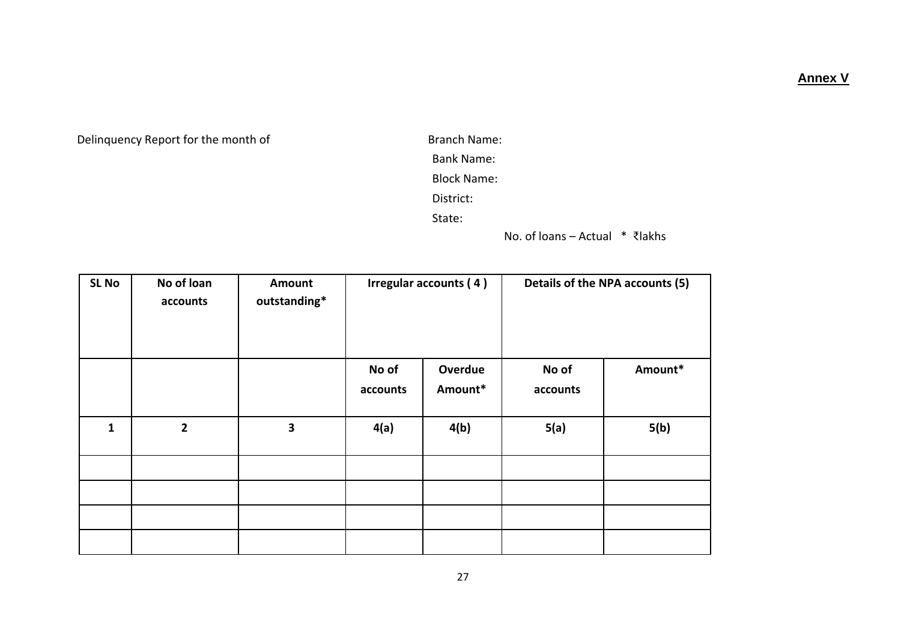## **Annex V**

Delinquency Report for the month of Branch Name:

Bank Name: Block Name:

District:

State:

No. of loans – Actual \* ₹lakhs

<span id="page-27-0"></span>

| <b>SL No</b> | No of loan<br>accounts | <b>Amount</b><br>outstanding* | Irregular accounts (4) |                    | Details of the NPA accounts (5) |         |
|--------------|------------------------|-------------------------------|------------------------|--------------------|---------------------------------|---------|
|              |                        |                               | No of<br>accounts      | Overdue<br>Amount* | No of<br>accounts               | Amount* |
| 1            | $\overline{2}$         | 3                             | 4(a)                   | 4(b)               | 5(a)                            | 5(b)    |
|              |                        |                               |                        |                    |                                 |         |
|              |                        |                               |                        |                    |                                 |         |
|              |                        |                               |                        |                    |                                 |         |
|              |                        |                               |                        |                    |                                 |         |